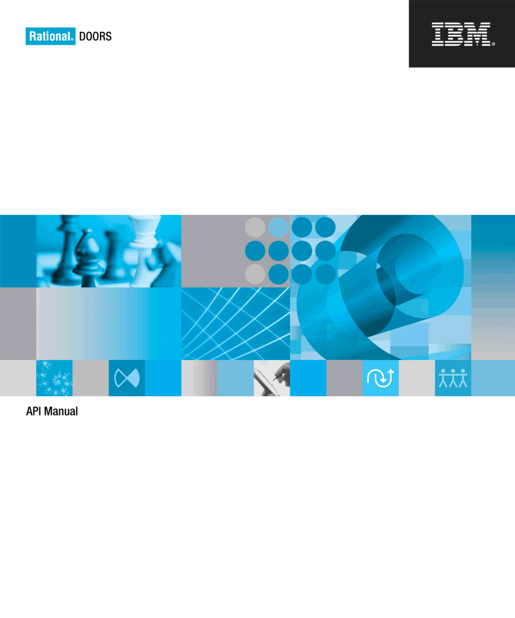





**API Manual**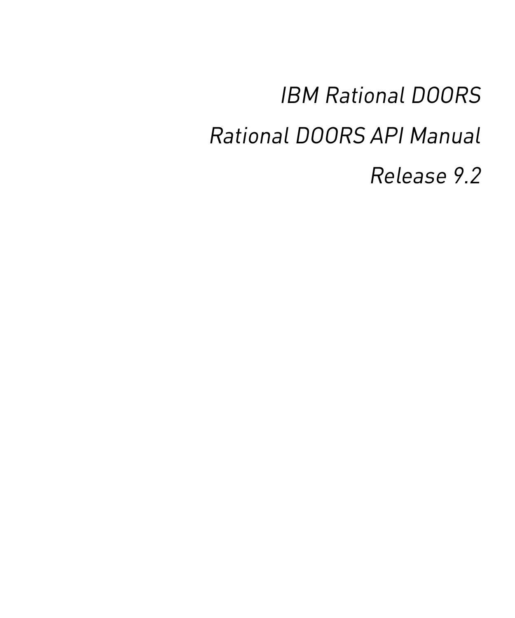# *IBM Rational DOORS Rational DOORS API Manual Release 9.2*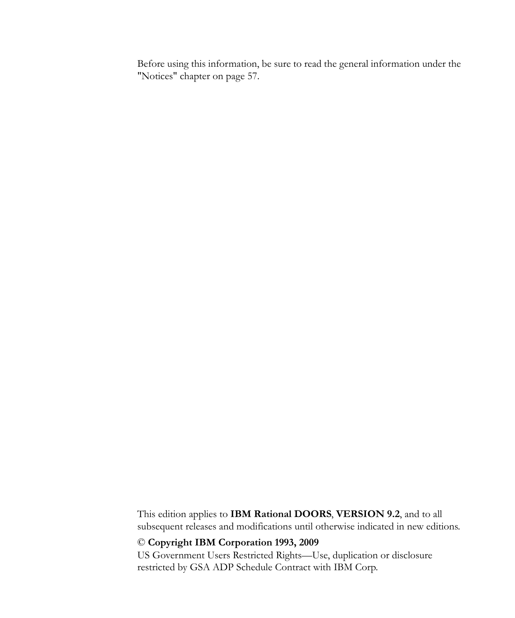Before using this information, be sure to read the general information under the ["Notices" chapter on page 57.](#page-64-0)

This edition applies to **IBM Rational DOORS**, **VERSION 9.2**, and to all subsequent releases and modifications until otherwise indicated in new editions.

#### © **Copyright IBM Corporation 1993, 2009**

US Government Users Restricted Rights—Use, duplication or disclosure restricted by GSA ADP Schedule Contract with IBM Corp.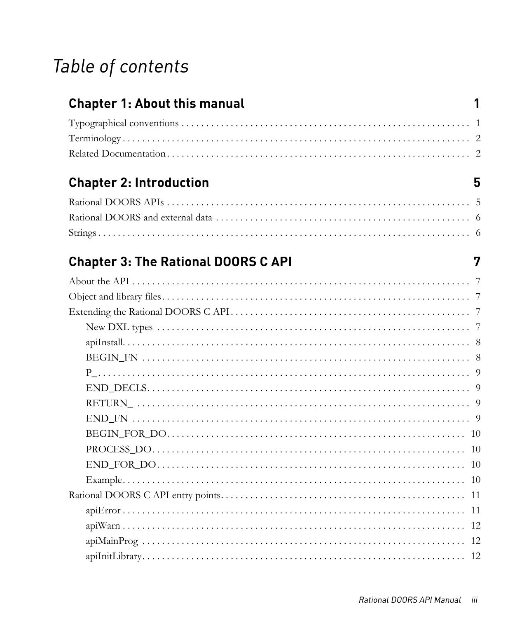## Table of contents

| <b>Chapter 1: About this manual</b>        | 1 |
|--------------------------------------------|---|
|                                            |   |
|                                            |   |
|                                            |   |
| <b>Chapter 2: Introduction</b>             | 5 |
|                                            |   |
|                                            |   |
|                                            |   |
| <b>Chapter 3: The Rational DOORS C API</b> | 7 |
|                                            |   |
|                                            |   |
|                                            |   |
|                                            |   |
|                                            |   |
|                                            |   |
|                                            |   |
|                                            |   |
|                                            |   |
|                                            |   |
|                                            |   |
|                                            |   |
|                                            |   |
|                                            |   |
|                                            |   |
|                                            |   |
|                                            |   |
|                                            |   |
|                                            |   |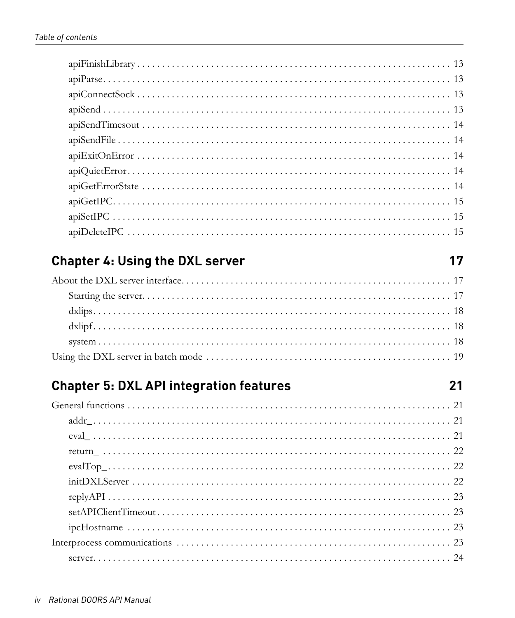## **Chapter 4: Using the DXL server**

 $17$ 

21

## **Chapter 5: DXL API integration features**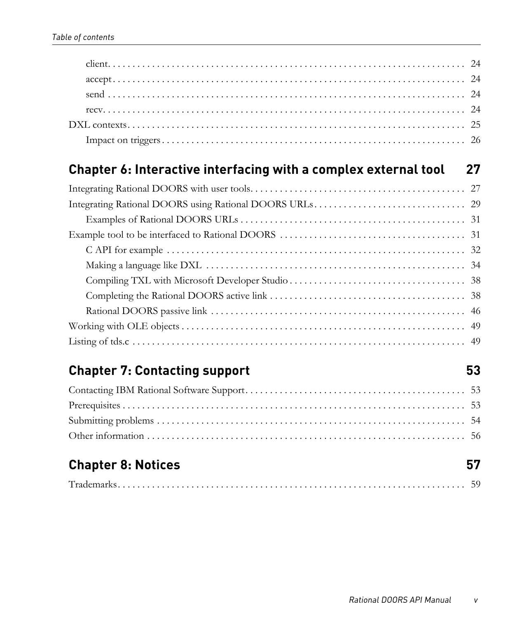## **[Chapter 6: Interactive interfacing with a complex external tool 27](#page-34-0)**

## **[Chapter 7: Contacting support 53](#page-60-0)**

## **[Chapter 8: Notices 57](#page-64-1)**

|--|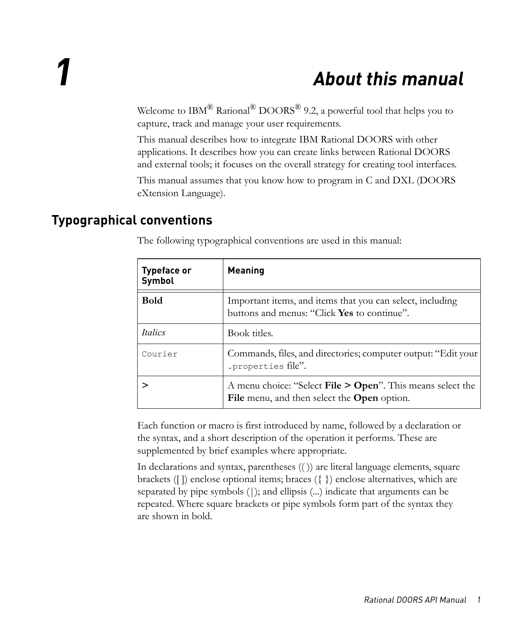## *1 About this manual*

<span id="page-8-0"></span>Welcome to  $IBM^{\circledR}$  Rational<sup> $\circledR$ </sup> DOORS<sup> $\circledR$ </sup> 9.2, a powerful tool that helps you to capture, track and manage your user requirements.

This manual describes how to integrate IBM Rational DOORS with other applications. It describes how you can create links between Rational DOORS and external tools; it focuses on the overall strategy for creating tool interfaces.

This manual assumes that you know how to program in C and DXL (DOORS eXtension Language).

## <span id="page-8-1"></span>**Typographical conventions**

**Typeface or Symbol Meaning Bold** Important items, and items that you can select, including buttons and menus: "Click **Yes** to continue". *Italics* Book titles. Courier Commands, files, and directories; computer output: "Edit your .properties file". **>** A menu choice: "Select **File > Open**". This means select the **File** menu, and then select the **Open** option.

The following typographical conventions are used in this manual:

Each function or macro is first introduced by name, followed by a declaration or the syntax, and a short description of the operation it performs. These are supplemented by brief examples where appropriate.

In declarations and syntax, parentheses (( )) are literal language elements, square brackets ([ ]) enclose optional items; braces ({ }) enclose alternatives, which are separated by pipe symbols (|); and ellipsis (...) indicate that arguments can be repeated. Where square brackets or pipe symbols form part of the syntax they are shown in bold.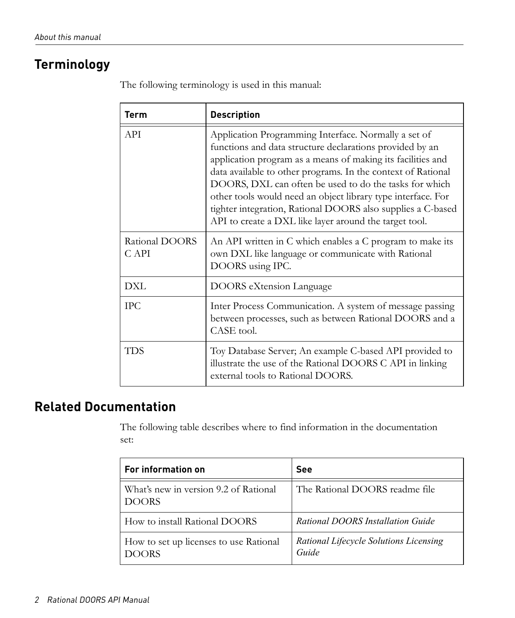## <span id="page-9-0"></span>**Terminology**

| Term                    | <b>Description</b>                                                                                                                                                                                                                                                                                                                                                                                                                                                                                 |
|-------------------------|----------------------------------------------------------------------------------------------------------------------------------------------------------------------------------------------------------------------------------------------------------------------------------------------------------------------------------------------------------------------------------------------------------------------------------------------------------------------------------------------------|
| API                     | Application Programming Interface. Normally a set of<br>functions and data structure declarations provided by an<br>application program as a means of making its facilities and<br>data available to other programs. In the context of Rational<br>DOORS, DXL can often be used to do the tasks for which<br>other tools would need an object library type interface. For<br>tighter integration, Rational DOORS also supplies a C-based<br>API to create a DXL like layer around the target tool. |
| Rational DOORS<br>C API | An API written in C which enables a C program to make its<br>own DXL like language or communicate with Rational<br>DOORS using IPC.                                                                                                                                                                                                                                                                                                                                                                |
| DXL                     | <b>DOORS</b> eXtension Language                                                                                                                                                                                                                                                                                                                                                                                                                                                                    |
| <b>IPC</b>              | Inter Process Communication. A system of message passing<br>between processes, such as between Rational DOORS and a<br>CASE tool.                                                                                                                                                                                                                                                                                                                                                                  |
| TDS                     | Toy Database Server; An example C-based API provided to<br>illustrate the use of the Rational DOORS C API in linking<br>external tools to Rational DOORS.                                                                                                                                                                                                                                                                                                                                          |

The following terminology is used in this manual:

## <span id="page-9-1"></span>**Related Documentation**

The following table describes where to find information in the documentation set:

| For information on                                     | <b>See</b>                                      |
|--------------------------------------------------------|-------------------------------------------------|
| What's new in version 9.2 of Rational<br><b>DOORS</b>  | The Rational DOORS readme file                  |
| How to install Rational DOORS                          | Rational DOORS Installation Guide               |
| How to set up licenses to use Rational<br><b>DOORS</b> | Rational Lifecycle Solutions Licensing<br>Guide |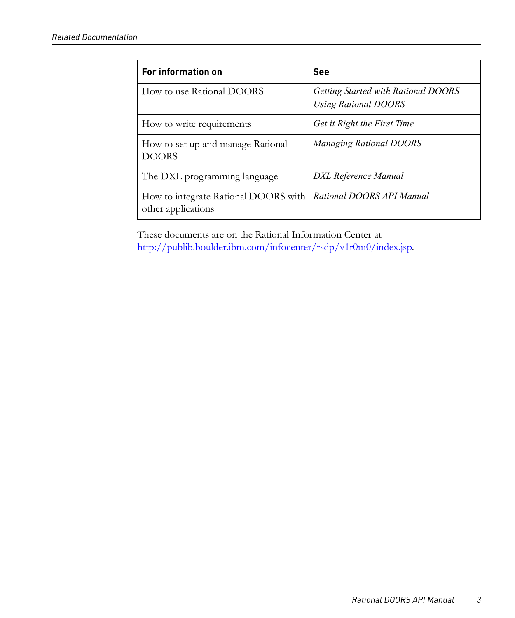| For information on                                         | See                                                         |
|------------------------------------------------------------|-------------------------------------------------------------|
| How to use Rational DOORS                                  | Getting Started with Rational DOORS<br>Using Rational DOORS |
| How to write requirements                                  | Get it Right the First Time                                 |
| How to set up and manage Rational<br><b>DOORS</b>          | Managing Rational DOORS                                     |
| The DXL programming language                               | <b>DXL Reference Manual</b>                                 |
| How to integrate Rational DOORS with<br>other applications | Rational DOORS API Manual                                   |

These documents are on the Rational Information Center at http://publib.boulder.ibm.com/infocenter/rsdp/v1r0m0/index.jsp.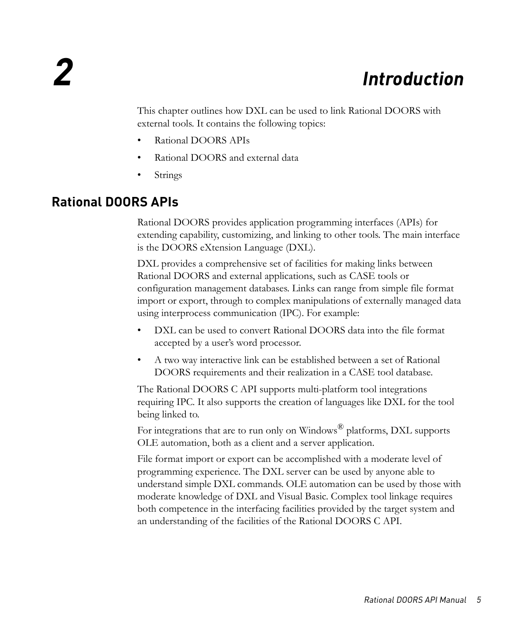# <span id="page-12-0"></span>*2 Introduction*

This chapter outlines how DXL can be used to link Rational DOORS with external tools. It contains the following topics:

- [Rational DOORS APIs](#page-12-1)
- [Rational DOORS and external data](#page-13-0)
- **[Strings](#page-13-1)**

## <span id="page-12-1"></span>**Rational DOORS APIs**

Rational DOORS provides application programming interfaces (APIs) for extending capability, customizing, and linking to other tools. The main interface is the DOORS eXtension Language (DXL).

DXL provides a comprehensive set of facilities for making links between Rational DOORS and external applications, such as CASE tools or configuration management databases. Links can range from simple file format import or export, through to complex manipulations of externally managed data using interprocess communication (IPC). For example:

- DXL can be used to convert Rational DOORS data into the file format accepted by a user's word processor.
- A two way interactive link can be established between a set of Rational DOORS requirements and their realization in a CASE tool database.

The Rational DOORS C API supports multi-platform tool integrations requiring IPC. It also supports the creation of languages like DXL for the tool being linked to.

For integrations that are to run only on Windows<sup>®</sup> platforms, DXL supports OLE automation, both as a client and a server application.

File format import or export can be accomplished with a moderate level of programming experience. The DXL server can be used by anyone able to understand simple DXL commands. OLE automation can be used by those with moderate knowledge of DXL and Visual Basic. Complex tool linkage requires both competence in the interfacing facilities provided by the target system and an understanding of the facilities of the Rational DOORS C API.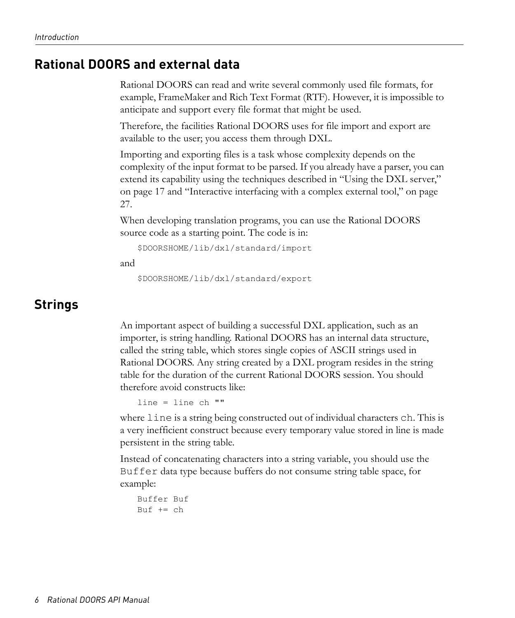## <span id="page-13-0"></span>**Rational DOORS and external data**

Rational DOORS can read and write several commonly used file formats, for example, FrameMaker and Rich Text Format (RTF). However, it is impossible to anticipate and support every file format that might be used.

Therefore, the facilities Rational DOORS uses for file import and export are available to the user; you access them through DXL.

Importing and exporting files is a task whose complexity depends on the complexity of the input format to be parsed. If you already have a parser, you can extend its capability using the techniques described in ["Using the DXL server,"](#page-24-3)  [on page 17](#page-24-3) and ["Interactive interfacing with a complex external tool," on page](#page-34-2)  [27](#page-34-2).

When developing translation programs, you can use the Rational DOORS source code as a starting point. The code is in:

```
$DOORSHOME/lib/dxl/standard/import
```
and

\$DOORSHOME/lib/dxl/standard/export

## <span id="page-13-1"></span>**Strings**

An important aspect of building a successful DXL application, such as an importer, is string handling. Rational DOORS has an internal data structure, called the string table, which stores single copies of ASCII strings used in Rational DOORS. Any string created by a DXL program resides in the string table for the duration of the current Rational DOORS session. You should therefore avoid constructs like:

```
line = line ch ""
```
where line is a string being constructed out of individual characters ch. This is a very inefficient construct because every temporary value stored in line is made persistent in the string table.

Instead of concatenating characters into a string variable, you should use the Buffer data type because buffers do not consume string table space, for example:

```
Buffer Buf
Buf \t+= ch
```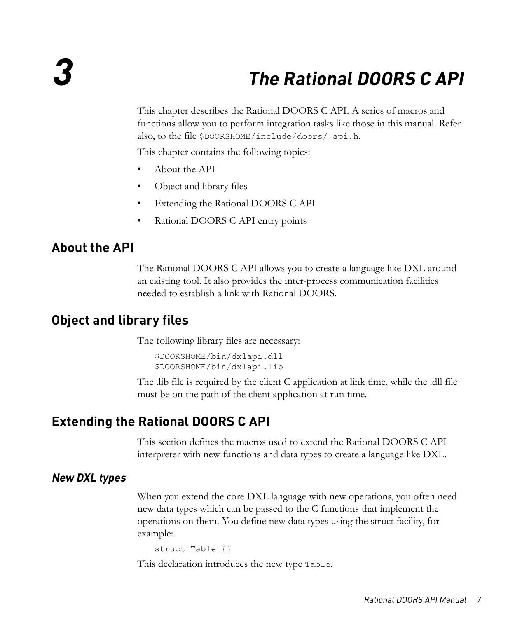## <span id="page-14-5"></span>*3 The Rational DOORS C API*

<span id="page-14-0"></span>This chapter describes the Rational DOORS C API. A series of macros and functions allow you to perform integration tasks like those in this manual. Refer also, to the file \$DOORSHOME/include/doors/ api.h.

This chapter contains the following topics:

- [About the API](#page-14-1)
- [Object and library files](#page-14-2)
- [Extending the Rational DOORS C API](#page-14-3)
- [Rational DOORS C API entry points](#page-18-0)

## <span id="page-14-1"></span>**About the API**

The Rational DOORS C API allows you to create a language like DXL around an existing tool. It also provides the inter-process communication facilities needed to establish a link with Rational DOORS.

## <span id="page-14-2"></span>**Object and library files**

The following library files are necessary:

\$DOORSHOME/bin/dxlapi.dll \$DOORSHOME/bin/dxlapi.lib

The .lib file is required by the client C application at link time, while the .dll file must be on the path of the client application at run time.

## <span id="page-14-3"></span>**Extending the Rational DOORS C API**

This section defines the macros used to extend the Rational DOORS C API interpreter with new functions and data types to create a language like DXL.

#### <span id="page-14-4"></span>*New DXL types*

When you extend the core DXL language with new operations, you often need new data types which can be passed to the C functions that implement the operations on them. You define new data types using the struct facility, for example:

```
struct Table {}
```
This declaration introduces the new type Table.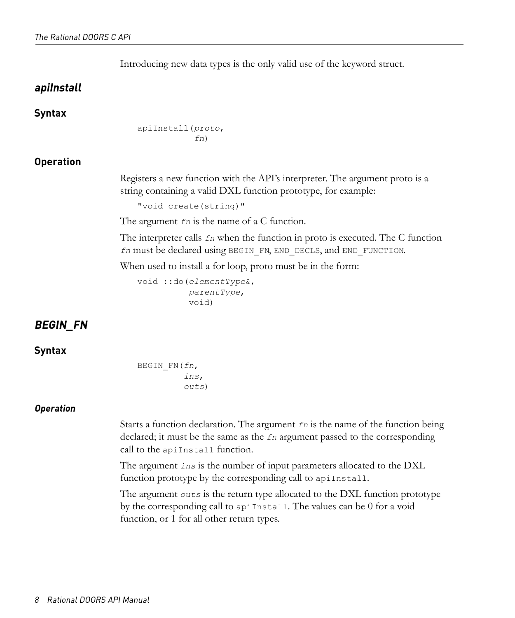Introducing new data types is the only valid use of the keyword struct.

#### <span id="page-15-0"></span>*apiInstall*

**Syntax**

apiInstall(*proto*, *fn*)

#### **Operation**

Registers a new function with the API's interpreter. The argument proto is a string containing a valid DXL function prototype, for example:

"void create(string)"

The argument *fn* is the name of a C function.

The interpreter calls *fn* when the function in proto is executed. The C function *fn* must be declared using BEGIN\_FN, END\_DECLS, and END\_FUNCTION.

When used to install a for loop, proto must be in the form:

```
void ::do(elementType&,
            parentType,
            void)
```
### <span id="page-15-1"></span>*BEGIN\_FN*

**Syntax**

```
BEGIN_FN(fn,
           ins,
           outs)
```
#### *Operation*

Starts a function declaration. The argument *fn* is the name of the function being declared; it must be the same as the *fn* argument passed to the corresponding call to the apiInstall function.

The argument *ins* is the number of input parameters allocated to the DXL function prototype by the corresponding call to apiInstall.

The argument *outs* is the return type allocated to the DXL function prototype by the corresponding call to apiInstall. The values can be 0 for a void function, or 1 for all other return types.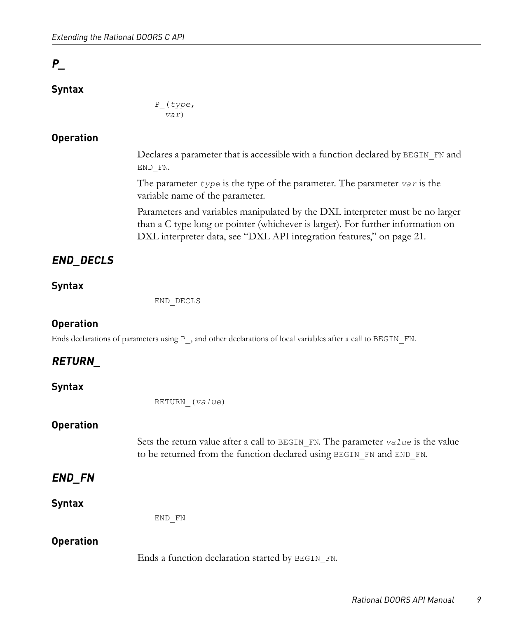## <span id="page-16-0"></span>*P\_*

#### **Syntax**

P\_(*type*, *var*)

#### **Operation**

Declares a parameter that is accessible with a function declared by BEGIN\_FN and END\_FN.

The parameter *type* is the type of the parameter. The parameter *var* is the variable name of the parameter.

Parameters and variables manipulated by the DXL interpreter must be no larger than a C type long or pointer (whichever is larger). For further information on DXL interpreter data, see ["DXL API integration features," on page 21](#page-28-4).

### <span id="page-16-1"></span>*END\_DECLS*

#### **Syntax**

END\_DECLS

#### **Operation**

Ends declarations of parameters using P\_, and other declarations of local variables after a call to BEGIN\_FN.

#### <span id="page-16-2"></span>*RETURN\_*

#### **Syntax**

RETURN\_(*value*)

#### **Operation**

Sets the return value after a call to BEGIN\_FN. The parameter *value* is the value to be returned from the function declared using BEGIN\_FN and END\_FN.

#### <span id="page-16-3"></span>*END\_FN*

#### **Syntax**

END\_FN

#### **Operation**

Ends a function declaration started by BEGIN\_FN.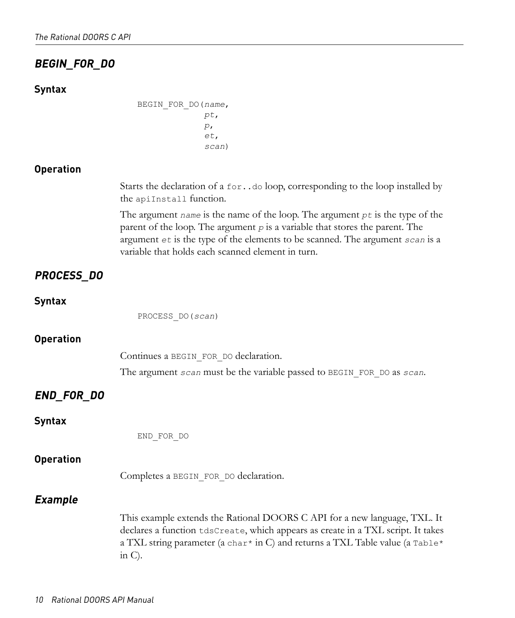## <span id="page-17-0"></span>*BEGIN\_FOR\_DO*

### **Syntax**

|  | BEGIN FOR DO (name, |
|--|---------------------|
|  | pt,                 |
|  | $\mathcal{D}$ ,     |
|  | et,                 |
|  | scan)               |

## **Operation**

<span id="page-17-3"></span><span id="page-17-2"></span><span id="page-17-1"></span>

| <b>Uperation</b> |                                                                                                                                                                                                                                                                                                         |
|------------------|---------------------------------------------------------------------------------------------------------------------------------------------------------------------------------------------------------------------------------------------------------------------------------------------------------|
|                  | Starts the declaration of a fordo loop, corresponding to the loop installed by<br>the apiInstall function.                                                                                                                                                                                              |
|                  | The argument name is the name of the loop. The argument $pt$ is the type of the<br>parent of the loop. The argument $p$ is a variable that stores the parent. The<br>argument et is the type of the elements to be scanned. The argument scan is a<br>variable that holds each scanned element in turn. |
| PROCESS_DO       |                                                                                                                                                                                                                                                                                                         |
| <b>Syntax</b>    |                                                                                                                                                                                                                                                                                                         |
|                  | PROCESS DO (scan)                                                                                                                                                                                                                                                                                       |
| <b>Operation</b> |                                                                                                                                                                                                                                                                                                         |
|                  | Continues a BEGIN FOR DO declaration.                                                                                                                                                                                                                                                                   |
|                  | The argument scan must be the variable passed to BEGIN FOR DO as scan.                                                                                                                                                                                                                                  |
| END_FOR_DO       |                                                                                                                                                                                                                                                                                                         |
| <b>Syntax</b>    |                                                                                                                                                                                                                                                                                                         |
|                  | END FOR DO                                                                                                                                                                                                                                                                                              |
| <b>Operation</b> |                                                                                                                                                                                                                                                                                                         |
|                  | Completes a BEGIN_FOR_DO declaration.                                                                                                                                                                                                                                                                   |
| <b>Example</b>   |                                                                                                                                                                                                                                                                                                         |
|                  | This example extends the Rational DOORS C API for a new language, TXL. It<br>declares a function tdsCreate, which appears as create in a TXL script. It takes<br>a TXL string parameter (a char* in C) and returns a TXL Table value (a Table*<br>in $C$ ).                                             |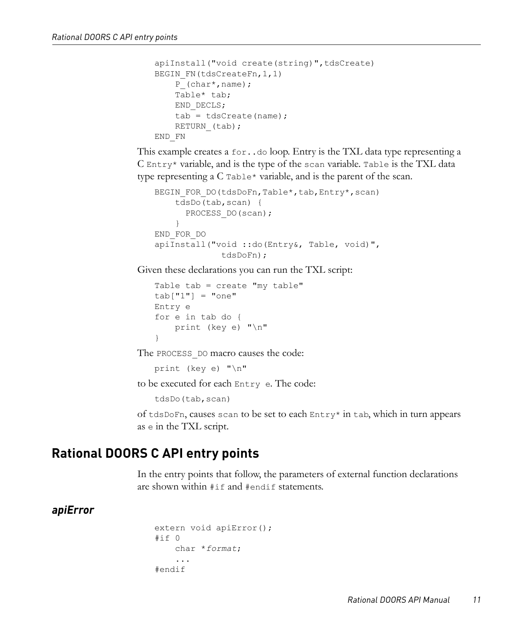```
apiInstall("void create(string)",tdsCreate)
BEGIN FN(tdsCreateFn, 1, 1)
     P_(char*,name); 
     Table* tab; 
    END_DECLS;
     tab = tdsCreate(name); 
    RETURN (tab);
END_FN
```
This example creates a for..do loop. Entry is the TXL data type representing a C Entry\* variable, and is the type of the scan variable. Table is the TXL data type representing a C Table\* variable, and is the parent of the scan.

```
BEGIN_FOR_DO(tdsDoFn,Table*,tab,Entry*,scan)
     tdsDo(tab,scan) {
       PROCESS_DO(scan);
     }
END_FOR_DO
apiInstall("void ::do(Entry&, Table, void)", 
              tdsDoFn);
```
Given these declarations you can run the TXL script:

```
Table tab = create "my table"
tab['1"] = "one"Entry e
for e in tab do {
     print (key e) "\n"
}
```
The PROCESS DO macro causes the code:

print (key e) "\n"

to be executed for each Entry e. The code:

tdsDo(tab,scan)

of tdsDoFn, causes scan to be set to each Entry\* in tab, which in turn appears as e in the TXL script.

### <span id="page-18-0"></span>**Rational DOORS C API entry points**

In the entry points that follow, the parameters of external function declarations are shown within #if and #endif statements.

#### <span id="page-18-1"></span>*apiError*

```
extern void apiError();
#if \cap char *format;
     ...
#endif
```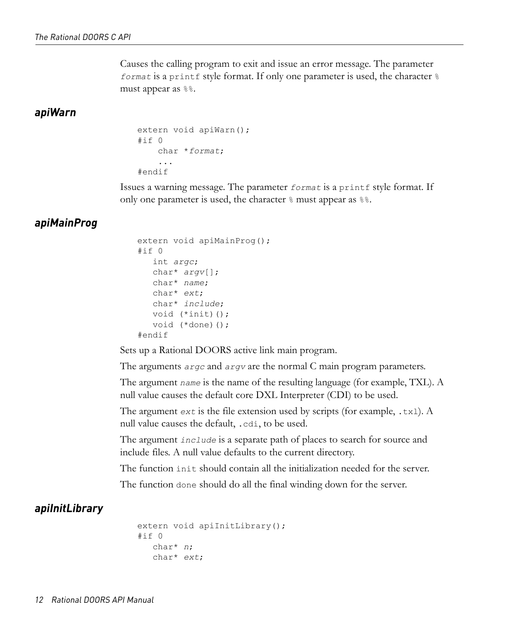Causes the calling program to exit and issue an error message. The parameter *format* is a printf style format. If only one parameter is used, the character % must appear as  $%$ .

#### <span id="page-19-0"></span>*apiWarn*

```
extern void apiWarn();
#if 0 
     char *format;
     ...
#endif
```
Issues a warning message. The parameter *format* is a printf style format. If only one parameter is used, the character % must appear as %%.

#### <span id="page-19-1"></span>*apiMainProg*

```
extern void apiMainProg();
#if 0 
    int argc; 
    char* argv[]; 
    char* name; 
    char* ext; 
    char* include; 
    void (*init)(); 
    void (*done)(); 
#endif
```
Sets up a Rational DOORS active link main program.

The arguments *argc* and *argv* are the normal C main program parameters.

The argument *name* is the name of the resulting language (for example, TXL). A null value causes the default core DXL Interpreter (CDI) to be used.

The argument *ext* is the file extension used by scripts (for example, .txl). A null value causes the default, .cdi, to be used.

The argument *include* is a separate path of places to search for source and include files. A null value defaults to the current directory.

The function init should contain all the initialization needed for the server.

The function done should do all the final winding down for the server.

#### <span id="page-19-2"></span>*apiInitLibrary*

```
extern void apiInitLibrary();
#if 0 char* n; 
    char* ext;
```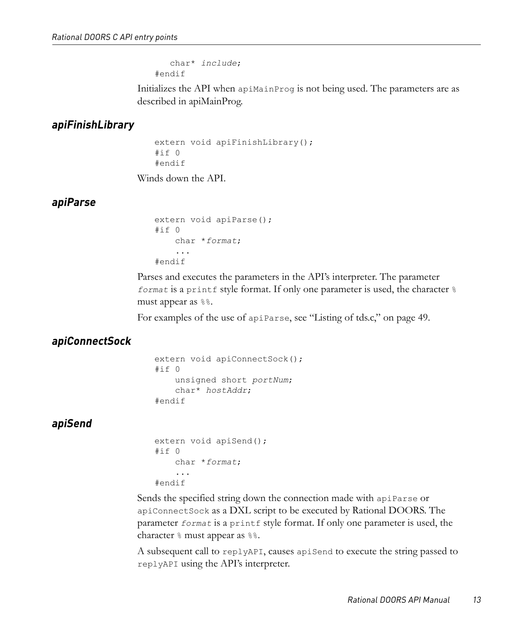char\* *include*; #endif

Initializes the API when apiMainProg is not being used. The parameters are as described in apiMainProg.

#### <span id="page-20-0"></span>*apiFinishLibrary*

```
extern void apiFinishLibrary();
#if 0#endif
```
Winds down the API.

#### <span id="page-20-1"></span>*apiParse*

```
extern void apiParse();
#if 0 char *format;
     ...
#endif
```
Parses and executes the parameters in the API's interpreter. The parameter *format* is a printf style format. If only one parameter is used, the character % must appear as  $%$ .

For examples of the use of apiParse, see ["Listing of tds.c," on page 49.](#page-56-2)

#### <span id="page-20-2"></span>*apiConnectSock*

```
extern void apiConnectSock();
#if 0 
     unsigned short portNum; 
     char* hostAddr;
#endif
```
#### <span id="page-20-3"></span>*apiSend*

```
extern void apiSend();
#if 0 
     char *format;
     ...
#endif
```
Sends the specified string down the connection made with apiParse or apiConnectSock as a DXL script to be executed by Rational DOORS. The parameter *format* is a printf style format. If only one parameter is used, the character % must appear as %%.

A subsequent call to replyAPI, causes apiSend to execute the string passed to replyAPI using the API's interpreter.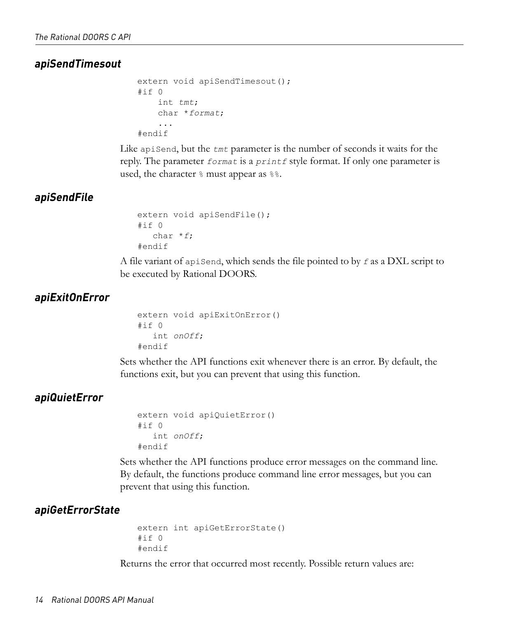#### <span id="page-21-0"></span>*apiSendTimesout*

```
extern void apiSendTimesout();
#if 0 
     int tmt;
     char *format;
     ...
#endif
```
Like apiSend, but the *tmt* parameter is the number of seconds it waits for the reply. The parameter *format* is a *printf* style format. If only one parameter is used, the character % must appear as %%.

#### <span id="page-21-1"></span>*apiSendFile*

```
extern void apiSendFile();
#if 0 
    char *f; 
#endif
```
A file variant of apiSend, which sends the file pointed to by *f* as a DXL script to be executed by Rational DOORS.

#### <span id="page-21-2"></span>*apiExitOnError*

```
extern void apiExitOnError()
#if 0 
    int onOff;
#endif
```
Sets whether the API functions exit whenever there is an error. By default, the functions exit, but you can prevent that using this function.

#### <span id="page-21-3"></span>*apiQuietError*

```
extern void apiQuietError()
#if 0 
    int onOff;
#endif
```
Sets whether the API functions produce error messages on the command line. By default, the functions produce command line error messages, but you can prevent that using this function.

#### <span id="page-21-4"></span>*apiGetErrorState*

extern int apiGetErrorState() #if 0 #endif

Returns the error that occurred most recently. Possible return values are: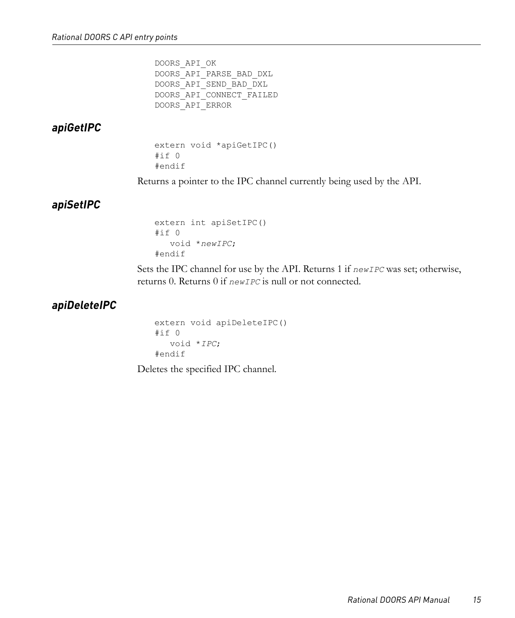DOORS\_API\_OK DOORS\_API\_PARSE\_BAD\_DXL DOORS\_API\_SEND\_BAD\_DXL DOORS\_API\_CONNECT\_FAILED DOORS\_API\_ERROR

#### <span id="page-22-0"></span>*apiGetIPC*

extern void \*apiGetIPC() #if 0 #endif

Returns a pointer to the IPC channel currently being used by the API.

#### <span id="page-22-1"></span>*apiSetIPC*

```
extern int apiSetIPC()
#if 0 
    void *newIPC;
#endif
```
Sets the IPC channel for use by the API. Returns 1 if *newIPC* was set; otherwise, returns 0. Returns 0 if *newIPC* is null or not connected.

#### <span id="page-22-2"></span>*apiDeleteIPC*

```
extern void apiDeleteIPC()
#if 0 
    void *IPC;
#endif
```
Deletes the specified IPC channel.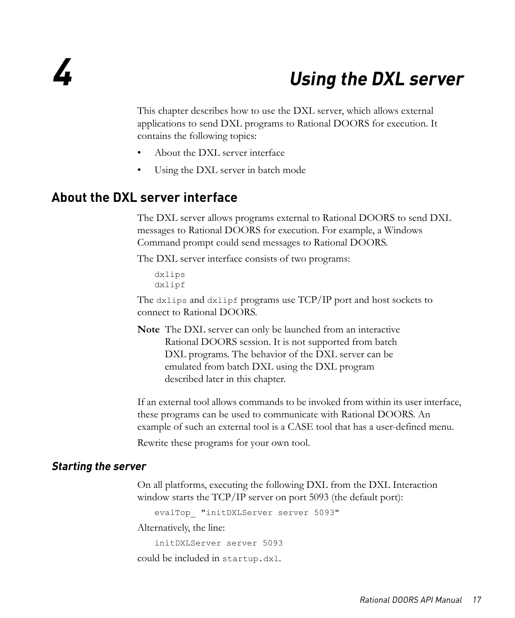## <span id="page-24-0"></span>*4 Using the DXL server*

<span id="page-24-3"></span>This chapter describes how to use the DXL server, which allows external applications to send DXL programs to Rational DOORS for execution. It contains the following topics:

- [About the DXL server interface](#page-24-1)
- [Using the DXL server in batch mode](#page-26-0)

## <span id="page-24-1"></span>**About the DXL server interface**

The DXL server allows programs external to Rational DOORS to send DXL messages to Rational DOORS for execution. For example, a Windows Command prompt could send messages to Rational DOORS.

The DXL server interface consists of two programs:

```
dxlips
dxlipf
```
The dxlips and dxlipf programs use TCP/IP port and host sockets to connect to Rational DOORS.

**Note** The DXL server can only be launched from an interactive Rational DOORS session. It is not supported from batch DXL programs. The behavior of the DXL server can be emulated from batch DXL using the DXL program described later in this chapter.

If an external tool allows commands to be invoked from within its user interface, these programs can be used to communicate with Rational DOORS. An example of such an external tool is a CASE tool that has a user-defined menu.

Rewrite these programs for your own tool.

#### <span id="page-24-2"></span>*Starting the server*

On all platforms, executing the following DXL from the DXL Interaction window starts the TCP/IP server on port 5093 (the default port):

evalTop\_ "initDXLServer server 5093"

Alternatively, the line:

```
initDXLServer server 5093
```

```
could be included in startup.dxl.
```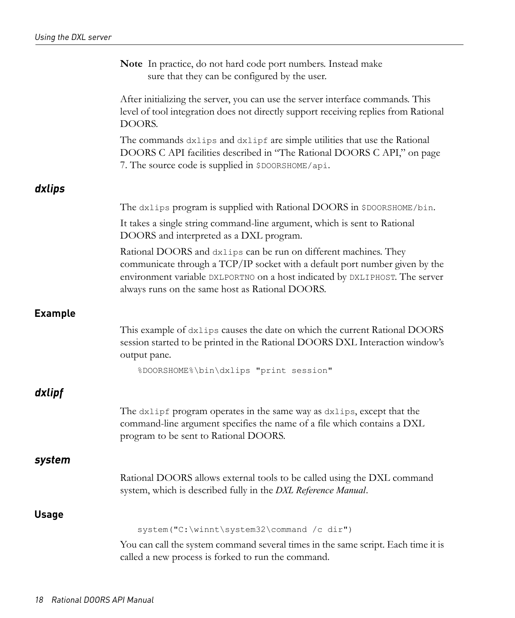<span id="page-25-2"></span><span id="page-25-1"></span><span id="page-25-0"></span>

| Note In practice, do not hard code port numbers. Instead make<br>sure that they can be configured by the user.                                                                                                                                                                    |
|-----------------------------------------------------------------------------------------------------------------------------------------------------------------------------------------------------------------------------------------------------------------------------------|
| After initializing the server, you can use the server interface commands. This<br>level of tool integration does not directly support receiving replies from Rational<br>DOORS.                                                                                                   |
| The commands dxlips and dxlipf are simple utilities that use the Rational<br>DOORS C API facilities described in "The Rational DOORS C API," on page<br>7. The source code is supplied in \$DOORSHOME/api.                                                                        |
|                                                                                                                                                                                                                                                                                   |
| The dxlips program is supplied with Rational DOORS in \$DOORSHOME/bin.                                                                                                                                                                                                            |
| It takes a single string command-line argument, which is sent to Rational<br>DOORS and interpreted as a DXL program.                                                                                                                                                              |
| Rational DOORS and dxlips can be run on different machines. They<br>communicate through a TCP/IP socket with a default port number given by the<br>environment variable DXLPORTNO on a host indicated by DXLIPHOST. The server<br>always runs on the same host as Rational DOORS. |
|                                                                                                                                                                                                                                                                                   |
| This example of dxlips causes the date on which the current Rational DOORS<br>session started to be printed in the Rational DOORS DXL Interaction window's<br>output pane.                                                                                                        |
| %DOORSHOME%\bin\dxlips "print session"                                                                                                                                                                                                                                            |
|                                                                                                                                                                                                                                                                                   |
| The dxlipf program operates in the same way as dxlips, except that the<br>command-line argument specifies the name of a file which contains a DXL<br>program to be sent to Rational DOORS.                                                                                        |
|                                                                                                                                                                                                                                                                                   |
| Rational DOORS allows external tools to be called using the DXL command<br>system, which is described fully in the DXL Reference Manual.                                                                                                                                          |
|                                                                                                                                                                                                                                                                                   |
| system("C:\winnt\system32\command /c dir")                                                                                                                                                                                                                                        |
| You can call the system command several times in the same script. Each time it is<br>called a new process is forked to run the command.                                                                                                                                           |
|                                                                                                                                                                                                                                                                                   |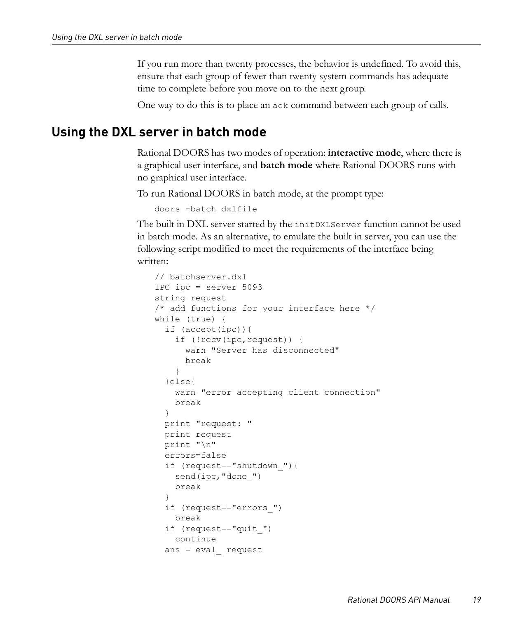If you run more than twenty processes, the behavior is undefined. To avoid this, ensure that each group of fewer than twenty system commands has adequate time to complete before you move on to the next group.

One way to do this is to place an ack command between each group of calls.

#### <span id="page-26-0"></span>**Using the DXL server in batch mode**

Rational DOORS has two modes of operation: **interactive mode**, where there is a graphical user interface, and **batch mode** where Rational DOORS runs with no graphical user interface.

To run Rational DOORS in batch mode, at the prompt type:

```
doors -batch dxlfile
```
The built in DXL server started by the initDXLServer function cannot be used in batch mode. As an alternative, to emulate the built in server, you can use the following script modified to meet the requirements of the interface being written:

```
// batchserver.dxl
IPC ipc = server 5093
string request
/* add functions for your interface here */
while (true) {
   if (accept(ipc)){
     if (!recv(ipc,request)) {
       warn "Server has disconnected"
       break
     }
   }else{
     warn "error accepting client connection"
     break
   }
   print "request: "
   print request
   print "\n"
   errors=false
   if (request=="shutdown_"){
    send(ipc, "done ")
     break
   } 
   if (request=="errors_")
    break 
   if (request=="quit_")
     continue
   ans = eval_ request
```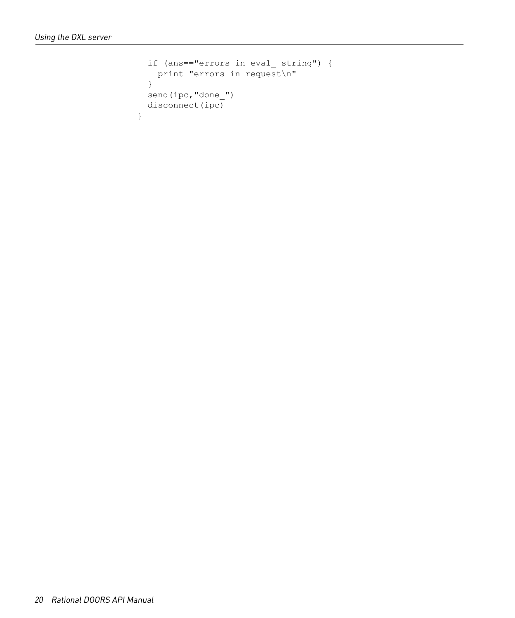}

```
 if (ans=="errors in eval_ string") {
  print "errors in request\n"
 }
 send(ipc,"done_")
 disconnect(ipc)
```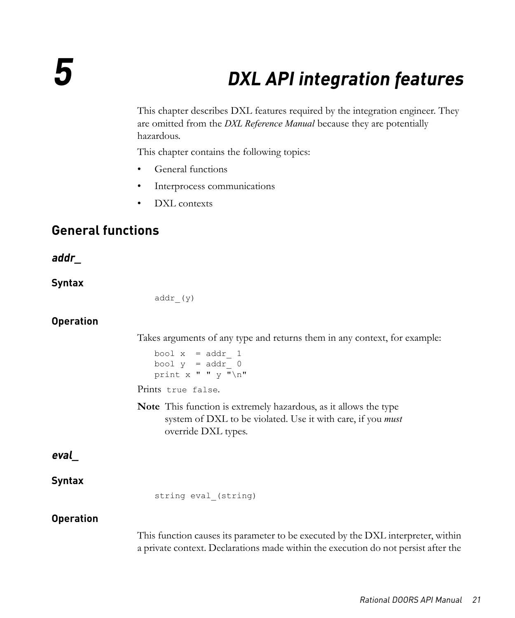<span id="page-28-2"></span>*addr\_*

# <span id="page-28-0"></span>*5 DXL API integration features*

<span id="page-28-4"></span>This chapter describes DXL features required by the integration engineer. They are omitted from the *DXL Reference Manual* because they are potentially hazardous.

This chapter contains the following topics:

- [General functions](#page-28-1)
- [Interprocess communications](#page-30-3)
- [DXL contexts](#page-32-0)

## <span id="page-28-1"></span>**General functions**

<span id="page-28-3"></span>

| <b>Syntax</b>    |                                                                                                                                                                        |
|------------------|------------------------------------------------------------------------------------------------------------------------------------------------------------------------|
|                  | addr(y)                                                                                                                                                                |
| <b>Operation</b> |                                                                                                                                                                        |
|                  | Takes arguments of any type and returns them in any context, for example:<br>bool $x = addr 1$<br>bool $y = addr_0$<br>print $x''''$ $y''\n\ln$                        |
|                  | Prints true false.                                                                                                                                                     |
|                  | <b>Note</b> This function is extremely hazardous, as it allows the type<br>system of DXL to be violated. Use it with care, if you must<br>override DXL types.          |
| eval             |                                                                                                                                                                        |
| <b>Syntax</b>    |                                                                                                                                                                        |
|                  | string eval_(string)                                                                                                                                                   |
| <b>Operation</b> |                                                                                                                                                                        |
|                  | This function causes its parameter to be executed by the DXL interpreter, within<br>a private context. Declarations made within the execution do not persist after the |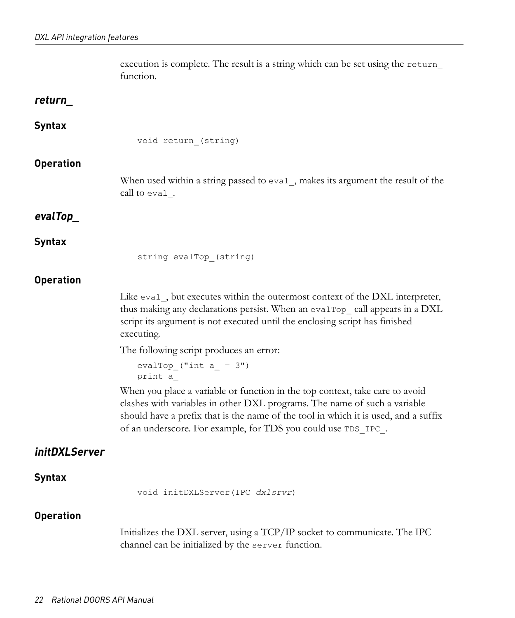execution is complete. The result is a string which can be set using the return\_ function.

#### <span id="page-29-0"></span>*return\_*

#### **Syntax**

void return\_(string)

#### **Operation**

When used within a string passed to eval, makes its argument the result of the call to eval\_.

#### <span id="page-29-1"></span>*evalTop\_*

#### **Syntax**

string evalTop\_(string)

#### **Operation**

Like eval, but executes within the outermost context of the DXL interpreter, thus making any declarations persist. When an evalTop\_ call appears in a DXL script its argument is not executed until the enclosing script has finished executing.

The following script produces an error:

 $evalTop_{1}("int a_{2} = 3")$ print a\_

When you place a variable or function in the top context, take care to avoid clashes with variables in other DXL programs. The name of such a variable should have a prefix that is the name of the tool in which it is used, and a suffix of an underscore. For example, for TDS you could use TDS\_IPC\_.

#### <span id="page-29-2"></span>*initDXLServer*

#### **Syntax**

void initDXLServer(IPC *dxlsrvr*)

#### **Operation**

Initializes the DXL server, using a TCP/IP socket to communicate. The IPC channel can be initialized by the server function.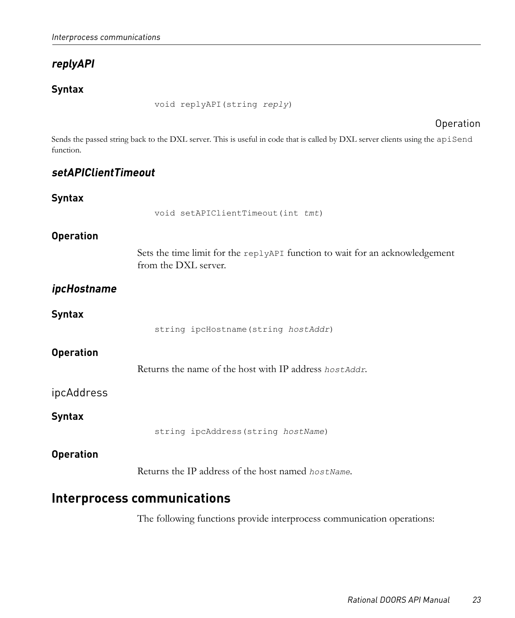#### <span id="page-30-0"></span>*replyAPI*

#### **Syntax**

void replyAPI(string *reply*)

#### Operation

Sends the passed string back to the DXL server. This is useful in code that is called by DXL server clients using the apiSend function.

#### <span id="page-30-1"></span>*setAPIClientTimeout*

#### **Syntax**

void setAPIClientTimeout(int *tmt*)

#### **Operation**

Sets the time limit for the replyAPI function to wait for an acknowledgement from the DXL server.

#### <span id="page-30-2"></span>*ipcHostname*

#### **Syntax**

string ipcHostname(string *hostAddr*)

#### **Operation**

Returns the name of the host with IP address *hostAddr*.

#### ipcAddress

#### **Syntax**

string ipcAddress(string *hostName*)

#### **Operation**

Returns the IP address of the host named *hostName*.

#### <span id="page-30-3"></span>**Interprocess communications**

The following functions provide interprocess communication operations: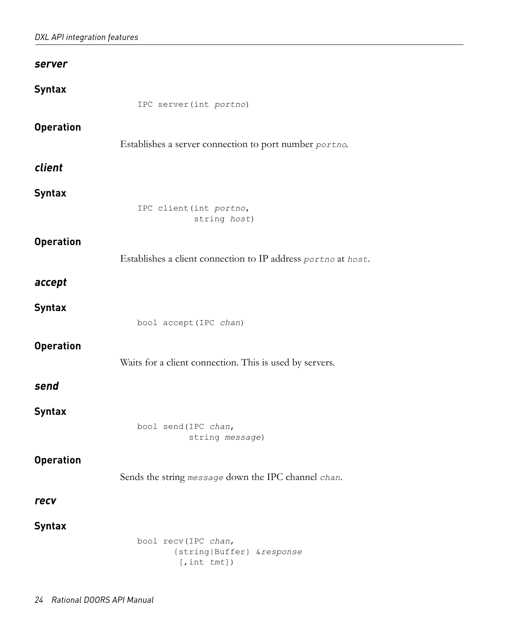<span id="page-31-4"></span><span id="page-31-3"></span><span id="page-31-2"></span><span id="page-31-1"></span><span id="page-31-0"></span>

| server           |                                                                        |
|------------------|------------------------------------------------------------------------|
| <b>Syntax</b>    |                                                                        |
|                  | IPC server (int portno)                                                |
| <b>Operation</b> |                                                                        |
|                  | Establishes a server connection to port number portno.                 |
| client           |                                                                        |
| <b>Syntax</b>    |                                                                        |
|                  | IPC client (int portno,<br>string host)                                |
| <b>Operation</b> |                                                                        |
|                  | Establishes a client connection to IP address portno at host.          |
| accept           |                                                                        |
| <b>Syntax</b>    |                                                                        |
|                  | bool accept (IPC chan)                                                 |
| <b>Operation</b> |                                                                        |
|                  | Waits for a client connection. This is used by servers.                |
| send             |                                                                        |
| <b>Syntax</b>    |                                                                        |
|                  | bool send(IPC chan,<br>string message)                                 |
| <b>Operation</b> |                                                                        |
|                  | Sends the string message down the IPC channel chan.                    |
| recv             |                                                                        |
| <b>Syntax</b>    |                                                                        |
|                  | bool recv(IPC chan,<br>{string Buffer} & response<br>$[, int$ $tmt]$ ) |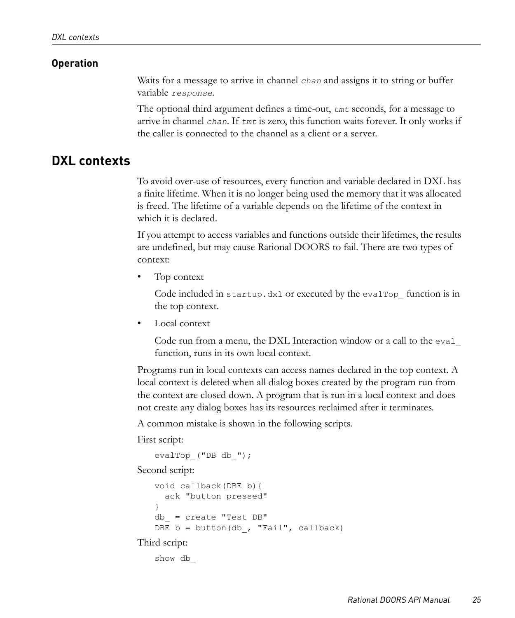#### **Operation**

Waits for a message to arrive in channel *chan* and assigns it to string or buffer variable *response*.

The optional third argument defines a time-out, *tmt* seconds, for a message to arrive in channel *chan*. If *tmt* is zero, this function waits forever. It only works if the caller is connected to the channel as a client or a server.

#### <span id="page-32-0"></span>**DXL contexts**

To avoid over-use of resources, every function and variable declared in DXL has a finite lifetime. When it is no longer being used the memory that it was allocated is freed. The lifetime of a variable depends on the lifetime of the context in which it is declared.

If you attempt to access variables and functions outside their lifetimes, the results are undefined, but may cause Rational DOORS to fail. There are two types of context:

Top context

Code included in startup.dxl or executed by the evalTop function is in the top context.

Local context

Code run from a menu, the DXL Interaction window or a call to the eval\_ function, runs in its own local context.

Programs run in local contexts can access names declared in the top context. A local context is deleted when all dialog boxes created by the program run from the context are closed down. A program that is run in a local context and does not create any dialog boxes has its resources reclaimed after it terminates.

A common mistake is shown in the following scripts.

First script:

```
evalTop ("DB db ");
```
Second script:

```
void callback(DBE b){
   ack "button pressed"
}
db_ = create "Test DB"
DBE b = button(db, "Fail", callback)
```
Third script:

```
show db_
```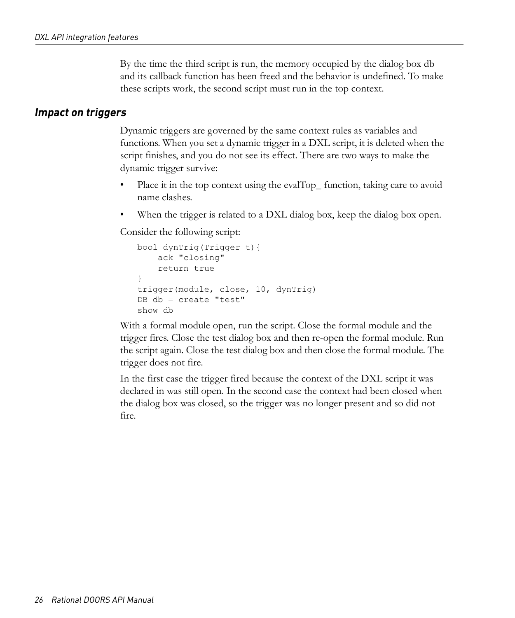By the time the third script is run, the memory occupied by the dialog box db and its callback function has been freed and the behavior is undefined. To make these scripts work, the second script must run in the top context.

#### <span id="page-33-0"></span>*Impact on triggers*

Dynamic triggers are governed by the same context rules as variables and functions. When you set a dynamic trigger in a DXL script, it is deleted when the script finishes, and you do not see its effect. There are two ways to make the dynamic trigger survive:

- Place it in the top context using the evalTop\_ function, taking care to avoid name clashes.
- When the trigger is related to a DXL dialog box, keep the dialog box open.

Consider the following script:

```
bool dynTrig(Trigger t){
     ack "closing"
    return true
}
trigger(module, close, 10, dynTrig)
DB db = create "test"
show db
```
With a formal module open, run the script. Close the formal module and the trigger fires. Close the test dialog box and then re-open the formal module. Run the script again. Close the test dialog box and then close the formal module. The trigger does not fire.

In the first case the trigger fired because the context of the DXL script it was declared in was still open. In the second case the context had been closed when the dialog box was closed, so the trigger was no longer present and so did not fire.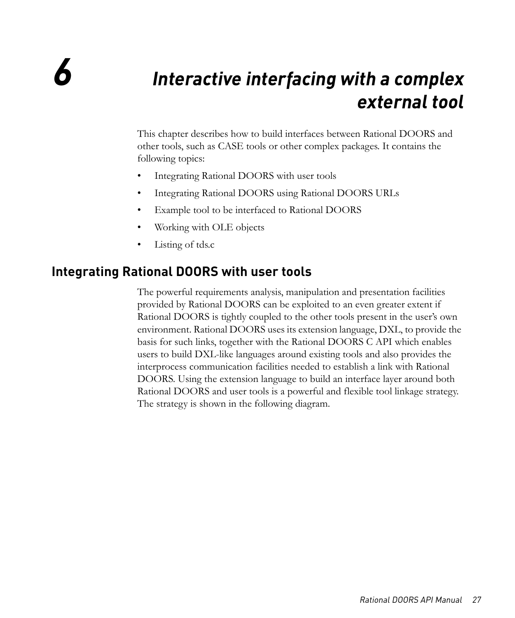## <span id="page-34-0"></span>*6 Interactive interfacing with a complex external tool*

<span id="page-34-2"></span>This chapter describes how to build interfaces between Rational DOORS and other tools, such as CASE tools or other complex packages. It contains the following topics:

- [Integrating Rational DOORS with user tools](#page-34-1)
- [Integrating Rational DOORS using Rational DOORS URLs](#page-36-0)
- [Example tool to be interfaced to Rational DOORS](#page-38-1)
- [Working with OLE objects](#page-56-0)
- [Listing of tds.c](#page-56-1)

### <span id="page-34-1"></span>**Integrating Rational DOORS with user tools**

The powerful requirements analysis, manipulation and presentation facilities provided by Rational DOORS can be exploited to an even greater extent if Rational DOORS is tightly coupled to the other tools present in the user's own environment. Rational DOORS uses its extension language, DXL, to provide the basis for such links, together with the Rational DOORS C API which enables users to build DXL-like languages around existing tools and also provides the interprocess communication facilities needed to establish a link with Rational DOORS. Using the extension language to build an interface layer around both Rational DOORS and user tools is a powerful and flexible tool linkage strategy. The strategy is shown in the following diagram.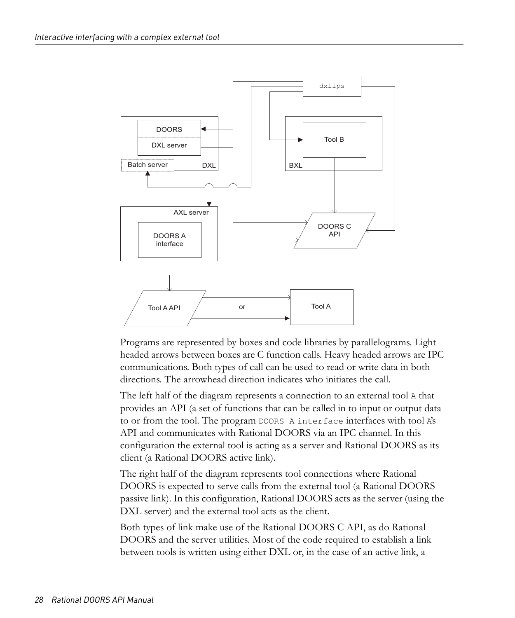

Programs are represented by boxes and code libraries by parallelograms. Light headed arrows between boxes are C function calls. Heavy headed arrows are IPC communications. Both types of call can be used to read or write data in both directions. The arrowhead direction indicates who initiates the call.

The left half of the diagram represents a connection to an external tool A that provides an API (a set of functions that can be called in to input or output data to or from the tool. The program DOORS A interface interfaces with tool A's API and communicates with Rational DOORS via an IPC channel. In this configuration the external tool is acting as a server and Rational DOORS as its client (a Rational DOORS active link).

The right half of the diagram represents tool connections where Rational DOORS is expected to serve calls from the external tool (a Rational DOORS passive link). In this configuration, Rational DOORS acts as the server (using the DXL server) and the external tool acts as the client.

Both types of link make use of the Rational DOORS C API, as do Rational DOORS and the server utilities. Most of the code required to establish a link between tools is written using either DXL or, in the case of an active link, a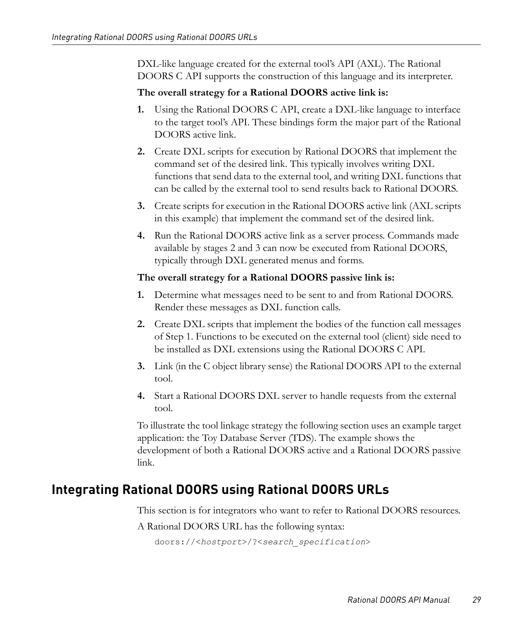DXL-like language created for the external tool's API (AXL). The Rational DOORS C API supports the construction of this language and its interpreter.

#### **The overall strategy for a Rational DOORS active link is:**

- **1.** Using the Rational DOORS C API, create a DXL-like language to interface to the target tool's API. These bindings form the major part of the Rational DOORS active link.
- **2.** Create DXL scripts for execution by Rational DOORS that implement the command set of the desired link. This typically involves writing DXL functions that send data to the external tool, and writing DXL functions that can be called by the external tool to send results back to Rational DOORS.
- **3.** Create scripts for execution in the Rational DOORS active link (AXL scripts in this example) that implement the command set of the desired link.
- **4.** Run the Rational DOORS active link as a server process. Commands made available by stages 2 and 3 can now be executed from Rational DOORS, typically through DXL generated menus and forms.

#### **The overall strategy for a Rational DOORS passive link is:**

- **1.** Determine what messages need to be sent to and from Rational DOORS. Render these messages as DXL function calls.
- **2.** Create DXL scripts that implement the bodies of the function call messages of Step 1. Functions to be executed on the external tool (client) side need to be installed as DXL extensions using the Rational DOORS C API.
- **3.** Link (in the C object library sense) the Rational DOORS API to the external tool.
- **4.** Start a Rational DOORS DXL server to handle requests from the external tool.

To illustrate the tool linkage strategy the following section uses an example target application: the Toy Database Server (TDS). The example shows the development of both a Rational DOORS active and a Rational DOORS passive link.

## <span id="page-36-0"></span>**Integrating Rational DOORS using Rational DOORS URLs**

This section is for integrators who want to refer to Rational DOORS resources.

A Rational DOORS URL has the following syntax:

doors://<*hostport*>/?<*search\_specification*>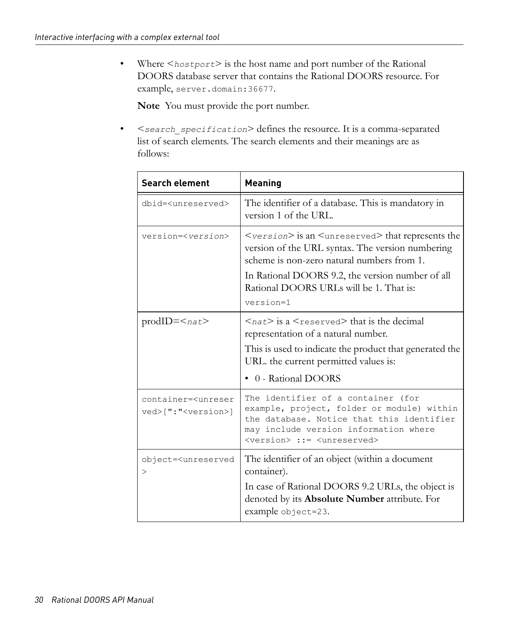• Where <*hostport*> is the host name and port number of the Rational DOORS database server that contains the Rational DOORS resource. For example, server.domain:36677.

**Note** You must provide the port number.

• <*search\_specification*> defines the resource. It is a comma-separated list of search elements. The search elements and their meanings are as follows:

| <b>Search element</b>                                               | <b>Meaning</b>                                                                                                                                                                                                                                                                   |
|---------------------------------------------------------------------|----------------------------------------------------------------------------------------------------------------------------------------------------------------------------------------------------------------------------------------------------------------------------------|
| dbid= <unreserved></unreserved>                                     | The identifier of a database. This is mandatory in<br>version 1 of the URL.                                                                                                                                                                                                      |
| version= <version></version>                                        | $\leq_{version} >$ is an $\leq_{unreserved} >$ that represents the<br>version of the URL syntax. The version numbering<br>scheme is non-zero natural numbers from 1.<br>In Rational DOORS 9.2, the version number of all<br>Rational DOORS URLs will be 1. That is:<br>version=1 |
| $prodID=nat>$                                                       | $\langle$ at $\rangle$ is a $\langle$ reserved $\rangle$ that is the decimal<br>representation of a natural number.<br>This is used to indicate the product that generated the<br>URL the current permitted values is:<br>• 0 - Rational DOORS                                   |
| container= <unreser<br>ved&gt;[":"<version>]</version></unreser<br> | The identifier of a container (for<br>example, project, folder or module) within<br>the database. Notice that this identifier<br>may include version information where<br><version> ::= <unreserved></unreserved></version>                                                      |
| object= <unreserved<br><math>\rm{&gt;}</math></unreserved<br>       | The identifier of an object (within a document<br>container).<br>In case of Rational DOORS 9.2 URLs, the object is<br>denoted by its <b>Absolute Number</b> attribute. For<br>example object=23.                                                                                 |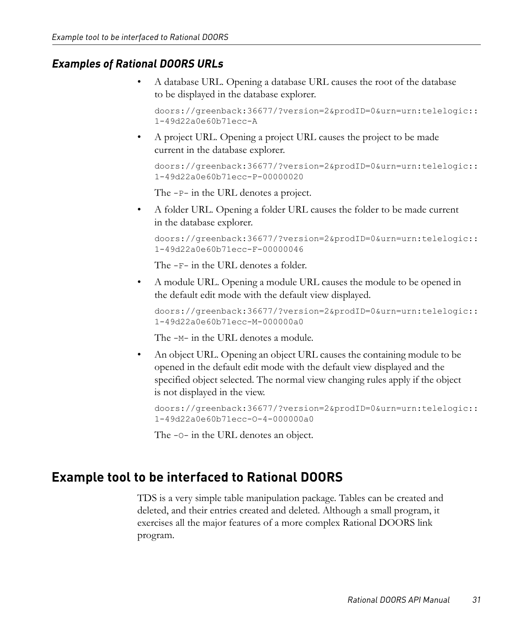#### <span id="page-38-0"></span>*Examples of Rational DOORS URLs*

• A database URL. Opening a database URL causes the root of the database to be displayed in the database explorer.

```
doors://greenback:36677/?version=2&prodID=0&urn=urn:telelogic::
1-49d22a0e60b71ecc-A
```
• A project URL. Opening a project URL causes the project to be made current in the database explorer.

```
doors://greenback:36677/?version=2&prodID=0&urn=urn:telelogic::
1-49d22a0e60b71ecc-P-00000020
```
The -P- in the URL denotes a project.

• A folder URL. Opening a folder URL causes the folder to be made current in the database explorer.

```
doors://greenback:36677/?version=2&prodID=0&urn=urn:telelogic::
1-49d22a0e60b71ecc-F-00000046
```
The -F- in the URL denotes a folder.

• A module URL. Opening a module URL causes the module to be opened in the default edit mode with the default view displayed.

```
doors://greenback:36677/?version=2&prodID=0&urn=urn:telelogic::
1-49d22a0e60b71ecc-M-000000a0
```
The -M- in the URL denotes a module.

• An object URL. Opening an object URL causes the containing module to be opened in the default edit mode with the default view displayed and the specified object selected. The normal view changing rules apply if the object is not displayed in the view.

```
doors://greenback:36677/?version=2&prodID=0&urn=urn:telelogic::
1-49d22a0e60b71ecc-O-4-000000a0
```
The -O- in the URL denotes an object.

## <span id="page-38-1"></span>**Example tool to be interfaced to Rational DOORS**

TDS is a very simple table manipulation package. Tables can be created and deleted, and their entries created and deleted. Although a small program, it exercises all the major features of a more complex Rational DOORS link program.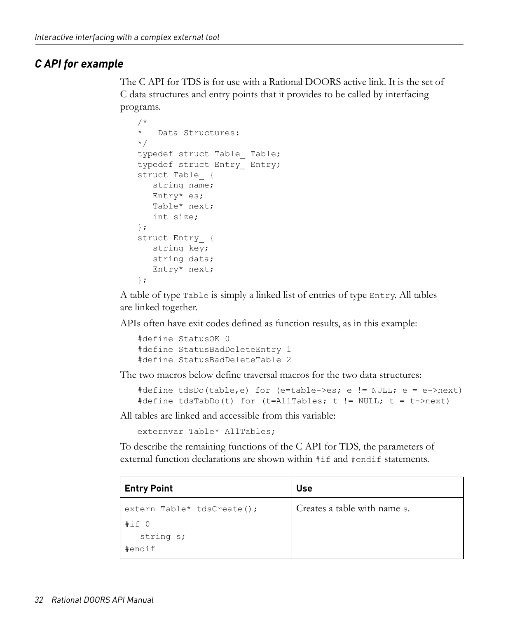#### <span id="page-39-0"></span>*C API for example*

The C API for TDS is for use with a Rational DOORS active link. It is the set of C data structures and entry points that it provides to be called by interfacing programs.

```
/*
    Data Structures:
*/
typedef struct Table Table;
typedef struct Entry Entry;
struct Table_ { 
    string name; 
   Entry* es; 
    Table* next;
    int size; 
};
struct Entry_ { 
    string key; 
    string data; 
    Entry* next; 
};
```
A table of type Table is simply a linked list of entries of type Entry. All tables are linked together.

APIs often have exit codes defined as function results, as in this example:

```
#define StatusOK 0 
#define StatusBadDeleteEntry 1
#define StatusBadDeleteTable 2
```
The two macros below define traversal macros for the two data structures:

```
#define tdsDo(table,e) for (e=table->es; e != NULL; e = e->next)
#define tdsTabDo(t) for (t=AllTables; t != NULL; t = t->next)
```
All tables are linked and accessible from this variable:

```
externvar Table* AllTables;
```
To describe the remaining functions of the C API for TDS, the parameters of external function declarations are shown within #if and #endif statements.

| <b>Entry Point</b>         | Use                          |
|----------------------------|------------------------------|
| extern Table* tdsCreate(); | Creates a table with name s. |
| #if 0                      |                              |
| string s;                  |                              |
| #endif                     |                              |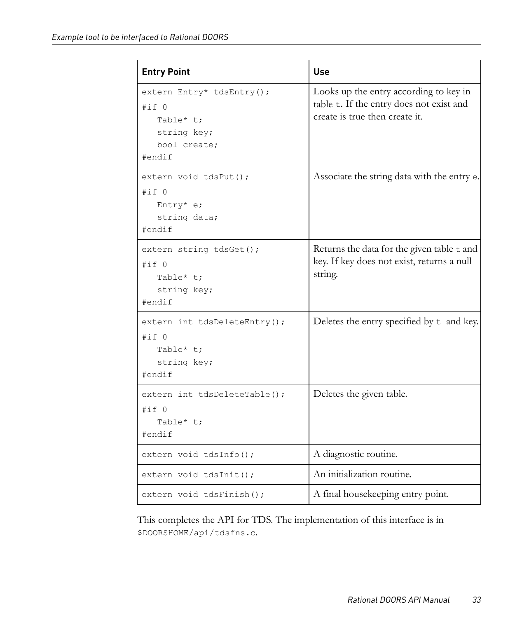| <b>Entry Point</b>                                                                          | Use                                                                                                                  |
|---------------------------------------------------------------------------------------------|----------------------------------------------------------------------------------------------------------------------|
| extern Entry* tdsEntry();<br>#if 0<br>Table* $t$ :<br>string key;<br>bool create;<br>#endif | Looks up the entry according to key in<br>table t. If the entry does not exist and<br>create is true then create it. |
| extern void tdsPut();<br>#if 0<br>Entry* e;<br>string data;<br>#endif                       | Associate the string data with the entry e.                                                                          |
| extern string tdsGet();<br>#if 0<br>Table* t;<br>string key;<br>#endif                      | Returns the data for the given table t and<br>key. If key does not exist, returns a null<br>string.                  |
| extern int tdsDeleteEntry();<br>#if $0$<br>Table* $t$ :<br>string key;<br>#endif            | Deletes the entry specified by $t$ and key.                                                                          |
| extern int tdsDeleteTable();<br>#if 0<br>Table* t;<br>#endif                                | Deletes the given table.                                                                                             |
| extern void tdsInfo();                                                                      | A diagnostic routine.                                                                                                |
| extern void tdsInit();                                                                      | An initialization routine.                                                                                           |
| extern void tdsFinish();                                                                    | A final housekeeping entry point.                                                                                    |

This completes the API for TDS. The implementation of this interface is in \$DOORSHOME/api/tdsfns.c.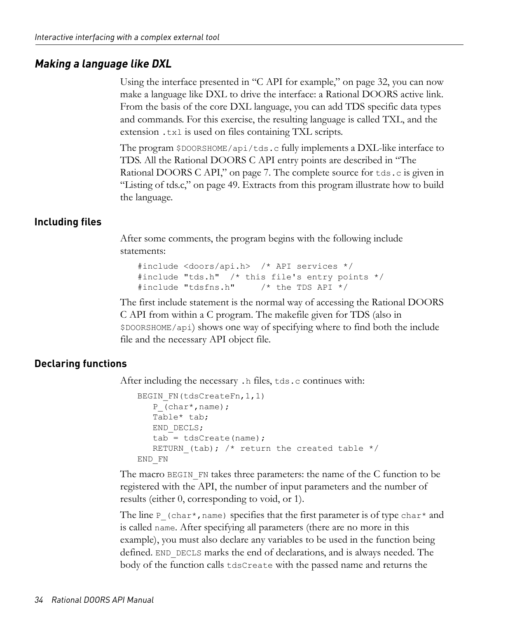#### <span id="page-41-0"></span>*Making a language like DXL*

Using the interface presented in ["C API for example," on page 32](#page-39-0), you can now make a language like DXL to drive the interface: a Rational DOORS active link. From the basis of the core DXL language, you can add TDS specific data types and commands. For this exercise, the resulting language is called TXL, and the extension .txl is used on files containing TXL scripts.

The program \$DOORSHOME/api/tds.c fully implements a DXL-like interface to TDS. All the Rational DOORS C API entry points are described in ["The](#page-14-5)  [Rational DOORS C API," on page 7.](#page-14-5) The complete source for tds.c is given in ["Listing of tds.c," on page 49](#page-56-1). Extracts from this program illustrate how to build the language.

#### **Including files**

After some comments, the program begins with the following include statements:

```
#include <doors/api.h> /* API services */
#include "tds.h" /* this file's entry points */
#include "tdsfns.h" /* the TDS API */
```
The first include statement is the normal way of accessing the Rational DOORS C API from within a C program. The makefile given for TDS (also in \$DOORSHOME/api) shows one way of specifying where to find both the include file and the necessary API object file.

#### **Declaring functions**

After including the necessary .h files, tds.c continues with:

```
BEGIN_FN(tdsCreateFn, 1, 1)
   P (char*, name);
    Table* tab; 
   END_DECLS;
   tab = tdsCreate(name);RETURN (tab); /* return the created table */END_FN
```
The macro BEGIN\_FN takes three parameters: the name of the C function to be registered with the API, the number of input parameters and the number of results (either 0, corresponding to void, or 1).

The line P (char\*, name) specifies that the first parameter is of type char\* and is called name. After specifying all parameters (there are no more in this example), you must also declare any variables to be used in the function being defined. END\_DECLS marks the end of declarations, and is always needed. The body of the function calls tdsCreate with the passed name and returns the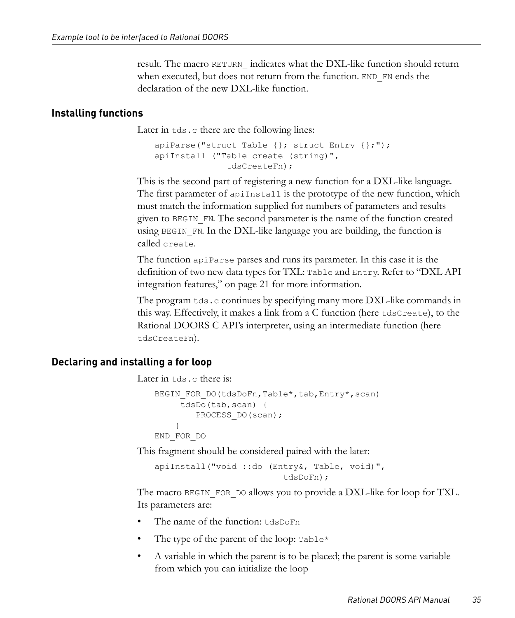result. The macro RETURN\_ indicates what the DXL-like function should return when executed, but does not return from the function. END FN ends the declaration of the new DXL-like function.

#### **Installing functions**

Later in tds.c there are the following lines:

```
apiParse("struct Table {}; struct Entry {};");
apiInstall ("Table create (string)",
               tdsCreateFn);
```
This is the second part of registering a new function for a DXL-like language. The first parameter of apiInstall is the prototype of the new function, which must match the information supplied for numbers of parameters and results given to BEGIN\_FN. The second parameter is the name of the function created using BEGIN FN. In the DXL-like language you are building, the function is called create.

The function apiParse parses and runs its parameter. In this case it is the definition of two new data types for TXL: Table and Entry. Refer to ["DXL API](#page-28-4)  [integration features," on page 21](#page-28-4) for more information.

The program tds.c continues by specifying many more DXL-like commands in this way. Effectively, it makes a link from a C function (here tdsCreate), to the Rational DOORS C API's interpreter, using an intermediate function (here tdsCreateFn).

#### **Declaring and installing a for loop**

Later in tds.c there is:

```
BEGIN_FOR_DO(tdsDoFn,Table*,tab,Entry*,scan)
      tdsDo(tab,scan) {
         PROCESS_DO(scan);
 }
END_FOR_DO
```
This fragment should be considered paired with the later:

```
apiInstall("void ::do (Entry&, Table, void)",
                           tdsDoFn);
```
The macro BEGIN FOR DO allows you to provide a DXL-like for loop for TXL. Its parameters are:

- The name of the function: tdsDoFn
- The type of the parent of the loop:  $Table*$
- A variable in which the parent is to be placed; the parent is some variable from which you can initialize the loop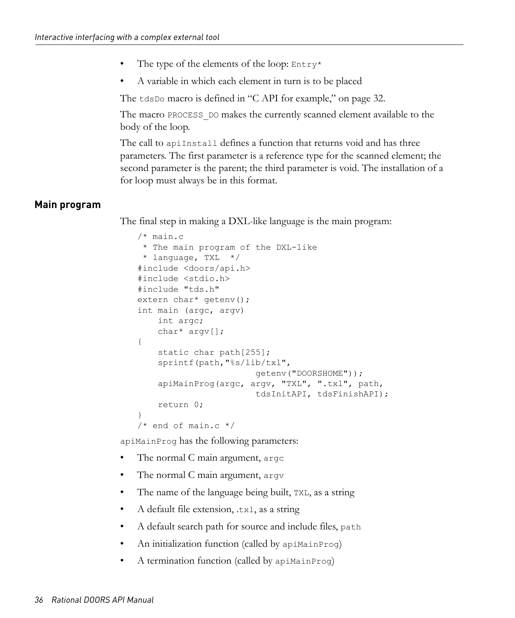- The type of the elements of the loop:  $Entry*$
- A variable in which each element in turn is to be placed

The tdsDo macro is defined in ["C API for example," on page 32.](#page-39-0)

The macro PROCESS DO makes the currently scanned element available to the body of the loop.

The call to apiInstall defines a function that returns void and has three parameters. The first parameter is a reference type for the scanned element; the second parameter is the parent; the third parameter is void. The installation of a for loop must always be in this format.

#### **Main program**

The final step in making a DXL-like language is the main program:

```
/* main.c
 * The main program of the DXL-like 
 * language, TXL */
#include <doors/api.h>
#include <stdio.h>
#include "tds.h"
extern char* getenv();
int main (argc, argv)
    int argc;
    char* argv[];
{
     static char path[255];
     sprintf(path,"%s/lib/txl", 
                        getenv("DOORSHOME"));
     apiMainProg(argc, argv, "TXL", ".txl", path, 
                        tdsInitAPI, tdsFinishAPI);
     return 0;
}
/* end of main.c */
```
apiMainProg has the following parameters:

- The normal C main argument, argo
- The normal C main argument, argv
- The name of the language being built, TXL, as a string
- A default file extension, .txl, as a string
- A default search path for source and include files, path
- An initialization function (called by apiMainProg)
- A termination function (called by apiMainProg)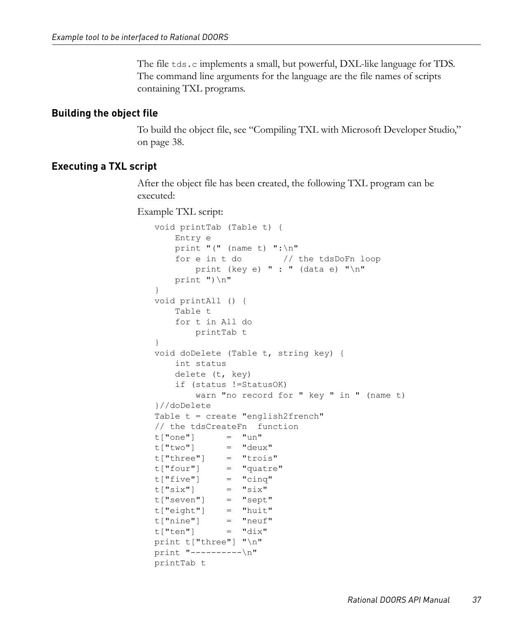The file tds.c implements a small, but powerful, DXL-like language for TDS. The command line arguments for the language are the file names of scripts containing TXL programs.

#### **Building the object file**

To build the object file, see ["Compiling TXL with Microsoft Developer Studio,"](#page-45-0)  [on page 38.](#page-45-0)

#### **Executing a TXL script**

After the object file has been created, the following TXL program can be executed:

Example TXL script:

```
void printTab (Table t) { 
     Entry e
    print "(" (name t) ":\n  \n  <i>n</i>" for e in t do // the tdsDoFn loop 
        print (key e) " : " (data e) "\n\pi"
     print ")\n" 
}
void printAll () {
     Table t 
     for t in All do 
        printTab t 
}
void doDelete (Table t, string key) { 
     int status
     delete (t, key) 
     if (status !=StatusOK) 
         warn "no record for " key " in " (name t)
}//doDelete
Table t = create "english2french" 
// the tdsCreateFn function 
t['one"] = "un"
t['two"] = "deux"t["three"] = "trois"<br>t["four"] = "quatre"
t["four"]t["five"] = "cinq" 
t['six"] = "six"
t["seven"] = "sept" 
t["eight"] = "huit" 
t['nine"] = "neuf"t['ten"] = "dix"
print t["three"] "\n" 
print "----------\n" 
printTab t
```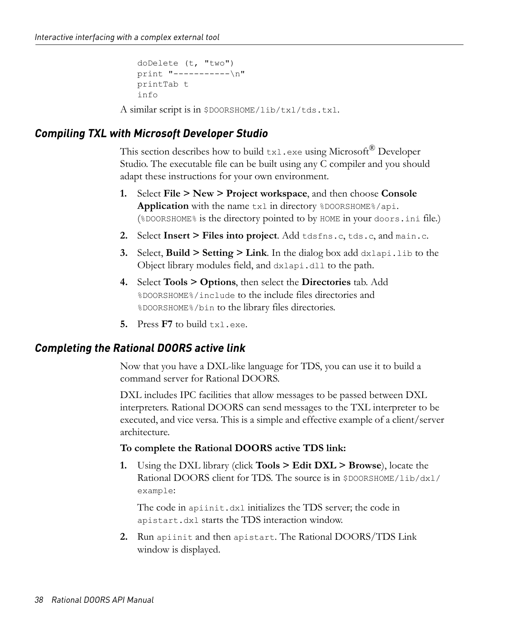```
doDelete (t, "two") 
   print "-----------\n" 
   printTab t
   info
A similar script is in $DOORSHOME/lib/txl/tds.txl.
```
#### <span id="page-45-0"></span>*Compiling TXL with Microsoft Developer Studio*

This section describes how to build  $\text{txl}$ . exe using Microsoft<sup>®</sup> Developer Studio. The executable file can be built using any C compiler and you should adapt these instructions for your own environment.

- **1.** Select **File > New > Project workspace**, and then choose **Console Application** with the name txl in directory %DOORSHOME%/api. (%DOORSHOME% is the directory pointed to by HOME in your doors.ini file.)
- **2.** Select **Insert > Files into project**. Add tdsfns.c, tds.c, and main.c.
- **3.** Select, **Build > Setting > Link**. In the dialog box add dxlapi.lib to the Object library modules field, and dxlapi.dll to the path.
- **4.** Select **Tools > Options**, then select the **Directories** tab. Add %DOORSHOME%/include to the include files directories and %DOORSHOME%/bin to the library files directories.
- **5.** Press **F7** to build txl.exe.

#### <span id="page-45-1"></span>*Completing the Rational DOORS active link*

Now that you have a DXL-like language for TDS, you can use it to build a command server for Rational DOORS.

DXL includes IPC facilities that allow messages to be passed between DXL interpreters. Rational DOORS can send messages to the TXL interpreter to be executed, and vice versa. This is a simple and effective example of a client/server architecture.

#### **To complete the Rational DOORS active TDS link:**

**1.** Using the DXL library (click **Tools > Edit DXL > Browse**), locate the Rational DOORS client for TDS. The source is in \$DOORSHOME/lib/dxl/ example:

The code in apiinit.dxl initializes the TDS server; the code in apistart.dxl starts the TDS interaction window.

**2.** Run apiinit and then apistart. The Rational DOORS/TDS Link window is displayed.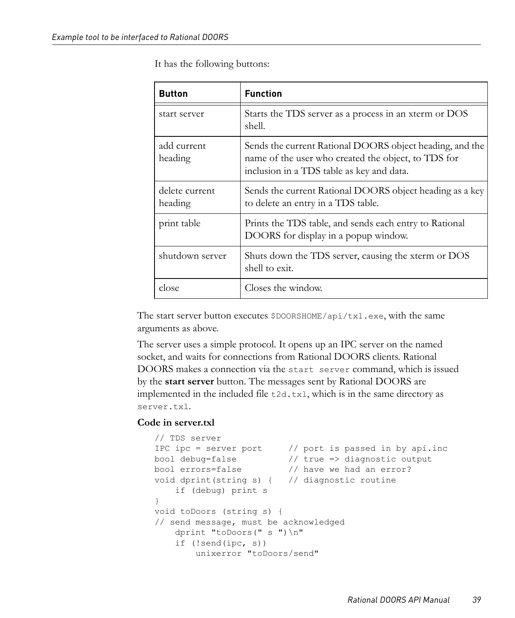It has the following buttons:

| <b>Button</b>             | <b>Function</b>                                                                                                                                              |
|---------------------------|--------------------------------------------------------------------------------------------------------------------------------------------------------------|
| start server              | Starts the TDS server as a process in an xterm or DOS<br>shell.                                                                                              |
| add current<br>heading    | Sends the current Rational DOORS object heading, and the<br>name of the user who created the object, to TDS for<br>inclusion in a TDS table as key and data. |
| delete current<br>heading | Sends the current Rational DOORS object heading as a key<br>to delete an entry in a TDS table.                                                               |
| print table               | Prints the TDS table, and sends each entry to Rational<br>DOORS for display in a popup window.                                                               |
| shutdown server           | Shuts down the TDS server, causing the xterm or DOS<br>shell to exit.                                                                                        |
| close                     | Closes the window.                                                                                                                                           |

The start server button executes \$DOORSHOME/api/txl.exe, with the same arguments as above.

The server uses a simple protocol. It opens up an IPC server on the named socket, and waits for connections from Rational DOORS clients. Rational DOORS makes a connection via the start server command, which is issued by the **start server** button. The messages sent by Rational DOORS are implemented in the included file  $t2d.txt$ , which is in the same directory as server.txl.

#### **Code in server.txl**

```
// TDS server
IPC ipc = server port // port is passed in by api.inc
bool debug=false // true => diagnostic output
bool errors=false // have we had an error?
void dprint(string s) { // diagnostic routine
    if (debug) print s
}
void toDoors (string s) { 
// send message, must be acknowledged
    dprint "toDoors(" s ")\n"
    if (!send(ipc, s))
        unixerror "toDoors/send"
```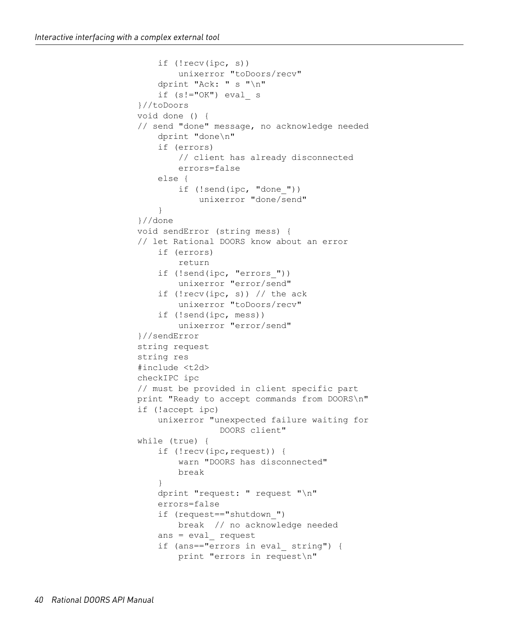```
 if (!recv(ipc, s))
         unixerror "toDoors/recv"
     dprint "Ack: " s "\n"
     if (s!="OK") eval_ s
}//toDoors
void done () { 
// send "done" message, no acknowledge needed
     dprint "done\n"
     if (errors)
         // client has already disconnected
         errors=false
     else {
        if (!send(ipc, "done "))
             unixerror "done/send"
     }
}//done
void sendError (string mess) { 
// let Rational DOORS know about an error
     if (errors)
         return
    if (!send(ipc, "errors "))
         unixerror "error/send"
     if (!recv(ipc, s)) // the ack
         unixerror "toDoors/recv"
     if (!send(ipc, mess))
         unixerror "error/send"
}//sendError
string request
string res
#include <t2d>
checkIPC ipc 
// must be provided in client specific part
print "Ready to accept commands from DOORS\n"
if (!accept ipc) 
     unixerror "unexpected failure waiting for
                 DOORS client"
while (true) {
     if (!recv(ipc,request)) {
         warn "DOORS has disconnected"
         break
     }
     dprint "request: " request "\n"
     errors=false
     if (request=="shutdown_")
         break // no acknowledge needed
     ans = eval_ request
     if (ans=="errors in eval_ string") {
         print "errors in request\n"
```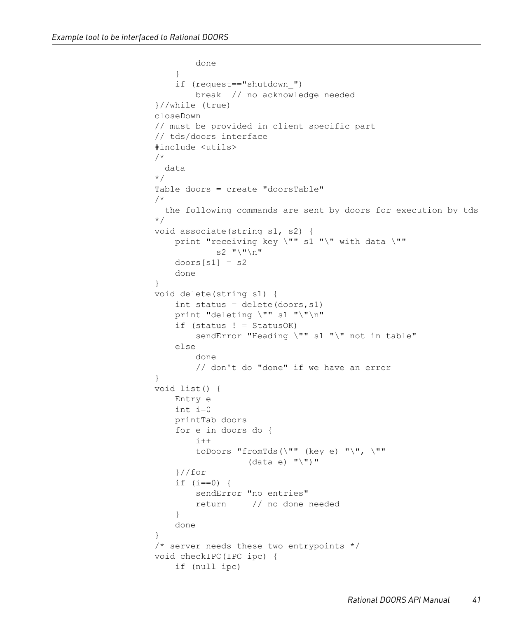```
 done
     }
     if (request=="shutdown_")
         break // no acknowledge needed
}//while (true)
closeDown 
// must be provided in client specific part
// tds/doors interface
#include <utils>
/*
   data
*/
Table doors = create "doorsTable"
/*
  the following commands are sent by doors for execution by tds
*/
void associate(string s1, s2) { 
    print "receiving key \"" s1 "\" with data \""
             s2 "\n\prime"\n\cdot n"doors[s1] = s2 done 
}
void delete(string s1) { 
     int status = delete(doors,s1)
     print "deleting \"" s1 "\"\n"
     if (status ! = StatusOK) 
        sendError "Heading \"" s1 "\" not in table"
     else 
         done 
         // don't do "done" if we have an error
}
void list() { 
     Entry e 
     int i=0 
     printTab doors
     for e in doors do { 
        i++toDoors "fromTds(\lq"" (key e) "\lq", \lq""
                   (data e) "\\" }//for
    if (i == 0) {
         sendError "no entries"
         return // no done needed 
     } 
     done 
}
/* server needs these two entrypoints */
void checkIPC(IPC ipc) { 
     if (null ipc)
```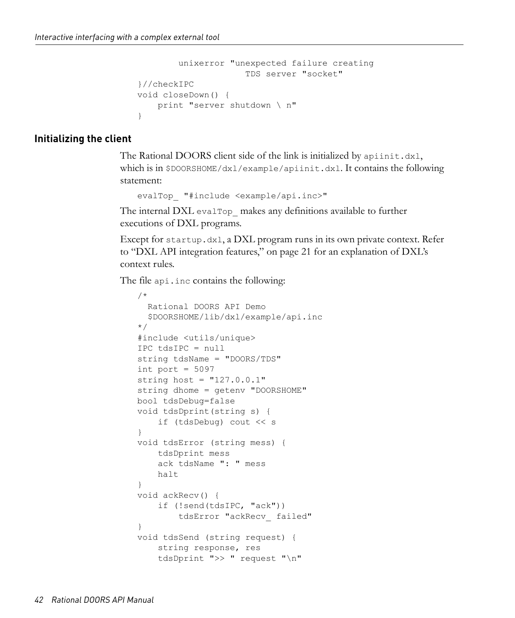```
 unixerror "unexpected failure creating
                       TDS server "socket"
}//checkIPC
void closeDown() { 
     print "server shutdown \ n" 
}
```
#### **Initializing the client**

The Rational DOORS client side of the link is initialized by apiinit.dxl, which is in \$DOORSHOME/dxl/example/apiinit.dxl. It contains the following statement:

evalTop "#include <example/api.inc>"

The internal DXL evalTop makes any definitions available to further executions of DXL programs.

Except for startup.dxl, a DXL program runs in its own private context. Refer to ["DXL API integration features," on page 21](#page-28-4) for an explanation of DXL's context rules.

The file api.inc contains the following:

```
/*
   Rational DOORS API Demo
   $DOORSHOME/lib/dxl/example/api.inc
*/
#include <utils/unique>
IPC tdsIPC = null
string tdsName = "DOORS/TDS"
int port = 5097string host = "127.0.0.1"string dhome = getenv "DOORSHOME"
bool tdsDebug=false
void tdsDprint(string s) {
     if (tdsDebug) cout << s
}
void tdsError (string mess) {
    tdsDprint mess
    ack tdsName ": " mess
    halt
}
void ackRecv() {
     if (!send(tdsIPC, "ack"))
         tdsError "ackRecv_ failed"
}
void tdsSend (string request) {
     string response, res
     tdsDprint ">> " request "\n"
```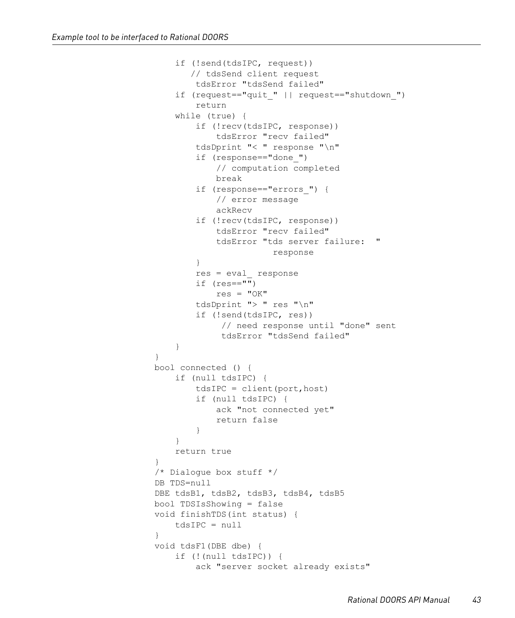```
 if (!send(tdsIPC, request)) 
        // tdsSend client request
         tdsError "tdsSend failed"
     if (request=="quit_" || request=="shutdown_")
         return
     while (true) {
         if (!recv(tdsIPC, response))
              tdsError "recv failed"
         tdsDprint "< " response "\n"
         if (response=="done_") 
              // computation completed
             break
         if (response=="errors_") { 
             // error message
             ackRecv
         if (!recv(tdsIPC, response))
             tdsError "recv failed"
             tdsError "tds server failure: "
                         response
 }
         res = eval_ response
         if (res=="") 
             res = "OK"
         tdsDprint "> " res "\n"
         if (!send(tdsIPC, res)) 
               // need response until "done" sent
               tdsError "tdsSend failed"
     }
}
bool connected () {
     if (null tdsIPC) {
        tdsIPC = client(port, host) if (null tdsIPC) {
             ack "not connected yet"
             return false
 }
     }
     return true
}
/* Dialogue box stuff */
DB TDS=null
DBE tdsB1, tdsB2, tdsB3, tdsB4, tdsB5
bool TDSIsShowing = false
void finishTDS(int status) {
     tdsIPC = null
}
void tdsF1(DBE dbe) {
     if (!(null tdsIPC)) {
         ack "server socket already exists"
```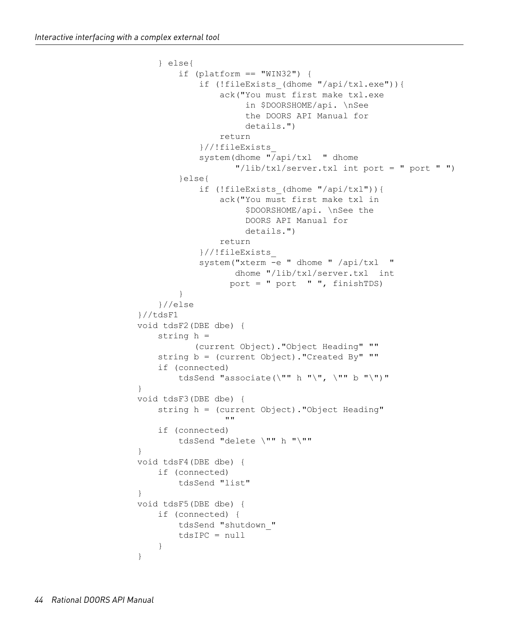```
 } else{
        if (platform == "WIN32") {
            if (!fileExists (dhome "/api/txl.exe")){
                 ack("You must first make txl.exe
                       in $DOORSHOME/api. \nSee
                       the DOORS API Manual for
                      details.")
                 return
             }//!fileExists_
             system(dhome "/api/txl " dhome
                     "/lib/txl/server.txl int port = " port " ")
         }else{
            if (!fileExists (dhome "/api/txl")) {
                 ack("You must first make txl in
                       $DOORSHOME/api. \nSee the
                      DOORS API Manual for
                      details.")
                 return
             }//!fileExists_
            system("xterm -e " dhome " /api/txl "
                    dhome "/lib/txl/server.txl int
                   port = " port " ", finishTDS)
 }
     }//else
}//tdsF1
void tdsF2(DBE dbe) {
    string h = 
            (current Object)."Object Heading" ""
     string b = (current Object)."Created By" ""
     if (connected)
        tdsSend "associate(\"" h "\", \"" b "\")"
}
void tdsF3(DBE dbe) {
     string h = (current Object)."Object Heading"
 ""
     if (connected)
         tdsSend "delete \"" h "\""
}
void tdsF4(DBE dbe) {
     if (connected)
         tdsSend "list"
\mathfrak{r}void tdsF5(DBE dbe) {
     if (connected) {
         tdsSend "shutdown_" 
         tdsIPC = null
     }
}
```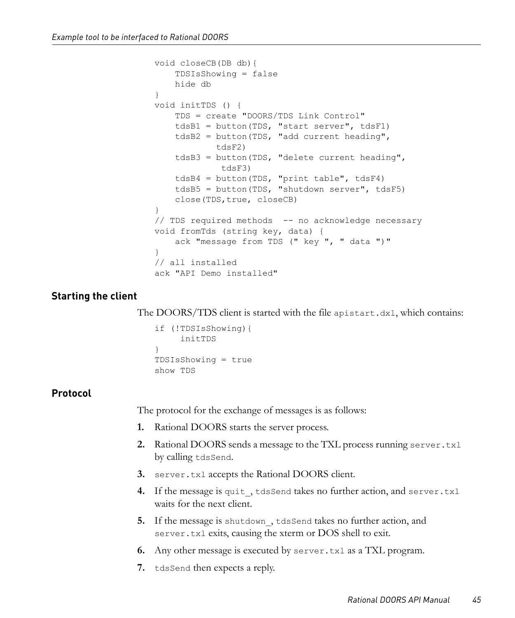```
void closeCB(DB db){
     TDSIsShowing = false
    hide db
}
void initTDS () {
     TDS = create "DOORS/TDS Link Control"
     tdsB1 = button(TDS, "start server", tdsF1)
     tdsB2 = button(TDS, "add current heading",
            tdsF2)
     tdsB3 = button(TDS, "delete current heading",
              tdsF3)
     tdsB4 = button(TDS, "print table", tdsF4)
     tdsB5 = button(TDS, "shutdown server", tdsF5)
     close(TDS,true, closeCB)
}
// TDS required methods -- no acknowledge necessary
void fromTds (string key, data) {
     ack "message from TDS (" key ", " data ")"
}
// all installed
ack "API Demo installed"
```
#### **Starting the client**

The DOORS/TDS client is started with the file apistart.dxl, which contains:

```
if (!TDSIsShowing){
      initTDS
}
TDSIsShowing = true
show TDS
```
#### **Protocol**

The protocol for the exchange of messages is as follows:

- **1.** Rational DOORS starts the server process.
- **2.** Rational DOORS sends a message to the TXL process running server.txl by calling tdsSend.
- **3.** server.txl accepts the Rational DOORS client.
- **4.** If the message is quit, tdsSend takes no further action, and server.txl waits for the next client.
- **5.** If the message is shutdown\_, tdsSend takes no further action, and server.txl exits, causing the xterm or DOS shell to exit.
- **6.** Any other message is executed by server.txl as a TXL program.
- **7.** tdsSend then expects a reply.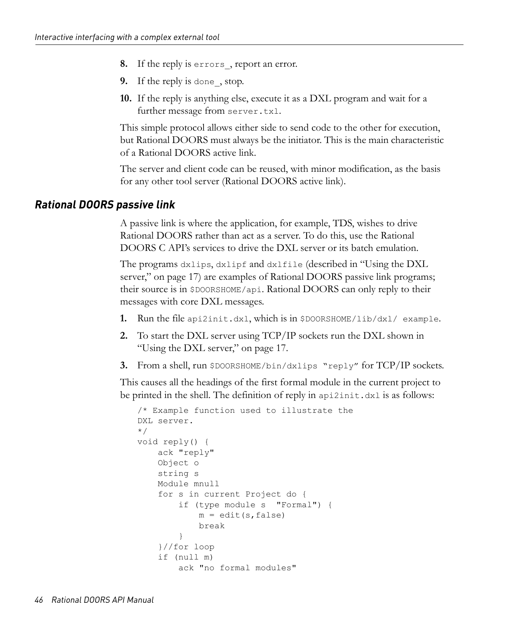- **8.** If the reply is errors, report an error.
- **9.** If the reply is done, stop.
- **10.** If the reply is anything else, execute it as a DXL program and wait for a further message from server.txl.

This simple protocol allows either side to send code to the other for execution, but Rational DOORS must always be the initiator. This is the main characteristic of a Rational DOORS active link.

The server and client code can be reused, with minor modification, as the basis for any other tool server (Rational DOORS active link).

#### <span id="page-53-0"></span>*Rational DOORS passive link*

A passive link is where the application, for example, TDS, wishes to drive Rational DOORS rather than act as a server. To do this, use the Rational DOORS C API's services to drive the DXL server or its batch emulation.

The programs dxlips, dxlipf and dxlfile (described in ["Using the DXL](#page-24-3)  [server," on page 17\)](#page-24-3) are examples of Rational DOORS passive link programs; their source is in \$DOORSHOME/api. Rational DOORS can only reply to their messages with core DXL messages.

- **1.** Run the file api2init.dxl, which is in \$DOORSHOME/lib/dxl/ example.
- **2.** To start the DXL server using TCP/IP sockets run the DXL shown in ["Using the DXL server," on page 17.](#page-24-3)
- **3.** From a shell, run \$DOORSHOME/bin/dxlips "reply" for TCP/IP sockets.

This causes all the headings of the first formal module in the current project to be printed in the shell. The definition of reply in api2init.dxl is as follows:

```
/* Example function used to illustrate the 
DXL server. 
*/
void reply() { 
    ack "reply" 
     Object o 
     string s 
     Module mnull
     for s in current Project do { 
         if (type module s "Formal") { 
            m = edit(s, false)
             break 
 } 
     }//for loop
     if (null m) 
         ack "no formal modules"
```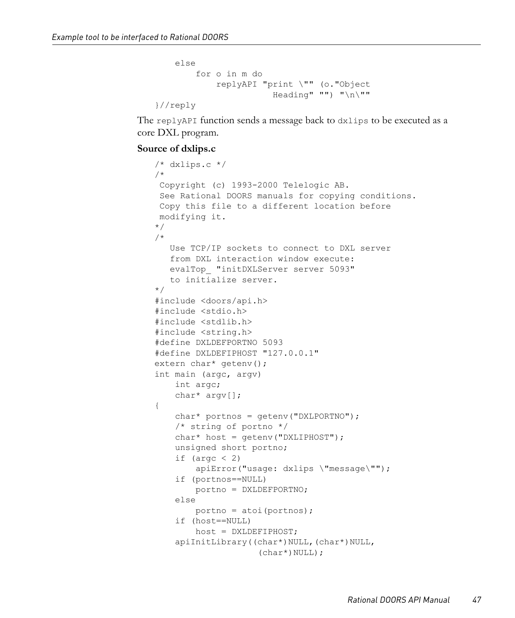```
 else 
         for o in m do 
              replyAPI "print \"" (o."Object
                          Heading" "") "\n\""
}//reply
```
The replyAPI function sends a message back to dxlips to be executed as a core DXL program.

#### **Source of dxlips.c**

```
/* dxlips.c */
/*
  Copyright (c) 1993-2000 Telelogic AB.
  See Rational DOORS manuals for copying conditions.
 Copy this file to a different location before
 modifying it.
*/
/*
    Use TCP/IP sockets to connect to DXL server
    from DXL interaction window execute:
    evalTop_ "initDXLServer server 5093" 
    to initialize server.
*/
#include <doors/api.h>
#include <stdio.h>
#include <stdlib.h>
#include <string.h>
#define DXLDEFPORTNO 5093
#define DXLDEFIPHOST "127.0.0.1"
extern char* getenv();
int main (argc, argv)
     int argc;
     char* argv[];
{
    char* portnos = qetenv("DXLPORTNO");
     /* string of portno */
     char* host = getenv("DXLIPHOST");
     unsigned short portno;
    if (argc \langle 2 \rangle apiError("usage: dxlips \"message\"");
     if (portnos==NULL)
         portno = DXLDEFPORTNO;
     else
         portno = atoi(portnos);
     if (host==NULL)
         host = DXLDEFIPHOST;
     apiInitLibrary((char*)NULL,(char*)NULL,
                      (char*)NULL);
```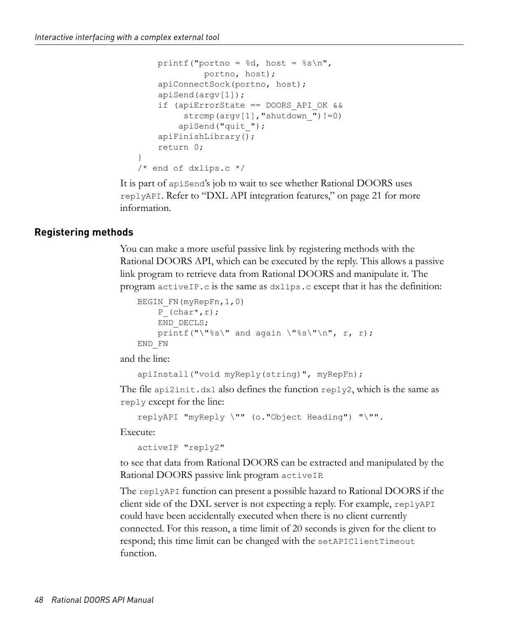}

```
printf("portno = d, host = s \n\rightharpoonup d,
               portno, host);
     apiConnectSock(portno, host);
     apiSend(argv[1]);
     if (apiErrorState == DOORS_API_OK &&
          strcmp(argv[1], "shutdown ") !=0)
          apiSend("quit_");
     apiFinishLibrary();
     return 0;
/* end of dxlips.c */
```
It is part of apisend's job to wait to see whether Rational DOORS uses replyAPI. Refer to ["DXL API integration features," on page 21](#page-28-4) for more information.

#### **Registering methods**

You can make a more useful passive link by registering methods with the Rational DOORS API, which can be executed by the reply. This allows a passive link program to retrieve data from Rational DOORS and manipulate it. The program activeIP.c is the same as dxlips.c except that it has the definition:

```
BEGIN_FN(myRepFn,1,0)
    P (char*,r); END_DECLS; 
    printf("\"%s\" and again \"%s\"\n", r, r);
END_FN
```
and the line:

```
apiInstall("void myReply(string)", myRepFn);
```
The file api2init.dxl also defines the function reply2, which is the same as reply except for the line:

replyAPI "myReply \"" (o."Object Heading") "\"".

Execute:

activeIP "reply2"

to see that data from Rational DOORS can be extracted and manipulated by the Rational DOORS passive link program activeIP.

The replyAPI function can present a possible hazard to Rational DOORS if the client side of the DXL server is not expecting a reply. For example, replyAPI could have been accidentally executed when there is no client currently connected. For this reason, a time limit of 20 seconds is given for the client to respond; this time limit can be changed with the setAPIClientTimeout function.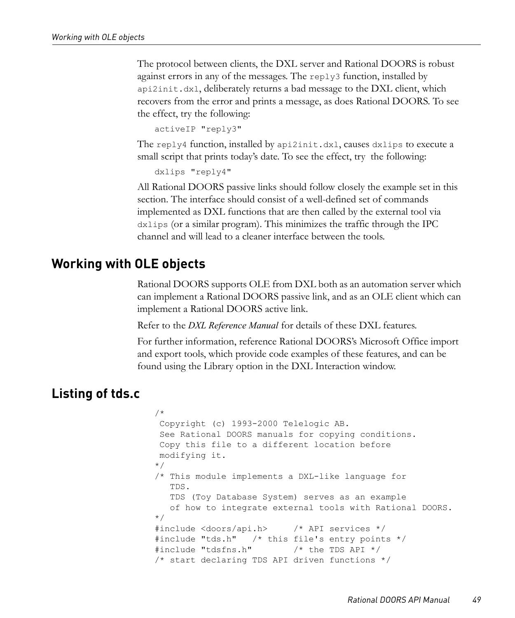The protocol between clients, the DXL server and Rational DOORS is robust against errors in any of the messages. The reply3 function, installed by api2init.dxl, deliberately returns a bad message to the DXL client, which recovers from the error and prints a message, as does Rational DOORS. To see the effect, try the following:

```
activeIP "reply3"
```
The reply4 function, installed by api2init.dxl, causes dxlips to execute a small script that prints today's date. To see the effect, try the following:

```
dxlips "reply4"
```
All Rational DOORS passive links should follow closely the example set in this section. The interface should consist of a well-defined set of commands implemented as DXL functions that are then called by the external tool via dxlips (or a similar program). This minimizes the traffic through the IPC channel and will lead to a cleaner interface between the tools.

## <span id="page-56-0"></span>**Working with OLE objects**

Rational DOORS supports OLE from DXL both as an automation server which can implement a Rational DOORS passive link, and as an OLE client which can implement a Rational DOORS active link.

Refer to the *DXL Reference Manual* for details of these DXL features.

For further information, reference Rational DOORS's Microsoft Office import and export tools, which provide code examples of these features, and can be found using the Library option in the DXL Interaction window.

## <span id="page-56-2"></span><span id="page-56-1"></span>**Listing of tds.c**

```
/*
 Copyright (c) 1993-2000 Telelogic AB.
 See Rational DOORS manuals for copying conditions.
 Copy this file to a different location before
 modifying it.
*/
/* This module implements a DXL-like language for
   TDS.
   TDS (Toy Database System) serves as an example
    of how to integrate external tools with Rational DOORS.
*/
#include <doors/api.h> /* API services */
#include "tds.h" /* this file's entry points */
#include "tdsfns.h" /* the TDS API *//* start declaring TDS API driven functions */
```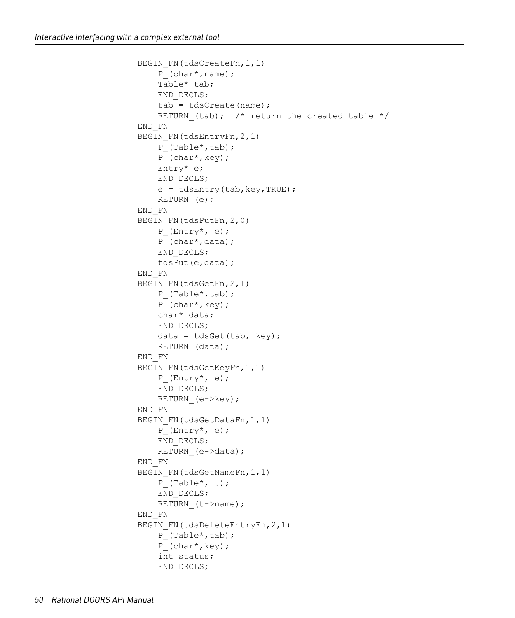```
BEGIN FN(tdsCreateFn, 1, 1)
    P (char*,name);
     Table* tab;
    END DECLS;
     tab = tdsCreate(name);
    RETURN (tab); /* return the created table */
END_FN
BEGIN FN(tdsEntryFn, 2, 1)
    P (Table*,tab);
     P_(char*,key);
     Entry* e;
    END_DECLS;
    e = tdsEntry(tab, key, TRUE);
     RETURN_(e);
END_FN
BEGIN_FN(tdsPutFn, 2,0)
    P (Entry*, e);P (char*,data);
    END_DECLS;
     tdsPut(e,data);
END_FN
BEGIN_FN(tdsGetFn,2,1)
    P (Table*,tab);
     P_(char*,key);
     char* data;
    END DECLS;
    data = tdsGet(tab, key);RETURN (data);
END_FN
BEGIN_FN(tdsGetKeyFn, 1, 1)
     P_(Entry*, e);
     END_DECLS;
     RETURN_(e->key);
END_FN
BEGIN FN(tdsGetDataFn, 1, 1)
    P (Entropy^*, e); END_DECLS;
    RETURN (e->data);
END_FN
BEGIN_FN(tdsGetNameFn, 1, 1)
    P (Table*, t);END_DECLS;
    RETURN (t->name);
END_FN
BEGIN_FN(tdsDeleteEntryFn, 2, 1)
    P (Table*,tab);
    P (char*, key) ;
     int status;
     END_DECLS;
```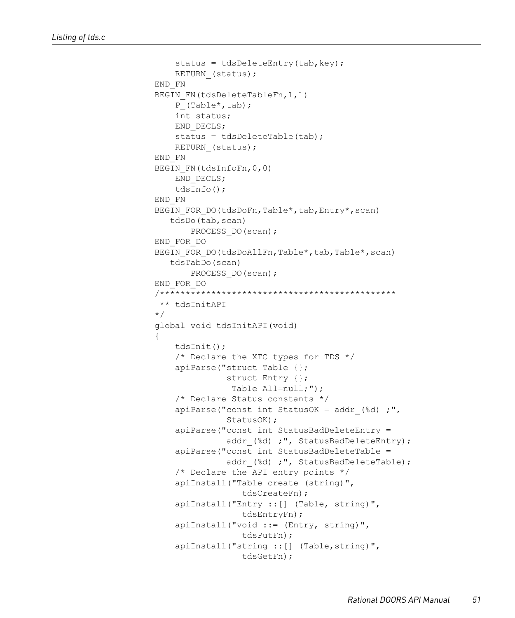```
status = tdsDeleteEntry(tab, key);
     RETURN_(status);
END_FN
BEGIN FN(tdsDeleteTableFn, 1, 1)
    P (Table*,tab);
     int status;
     END_DECLS;
     status = tdsDeleteTable(tab);
     RETURN_(status);
END_FN
BEGIN FN(tdsInfoFn, 0, 0)
    END_DECLS;
     tdsInfo();
END_FN
BEGIN_FOR_DO(tdsDoFn,Table*,tab,Entry*,scan)
    tdsDo(tab,scan)
        PROCESS_DO(scan);
END_FOR_DO
BEGIN_FOR_DO(tdsDoAllFn,Table*,tab,Table*,scan)
    tdsTabDo(scan)
        PROCESS_DO(scan);
END_FOR_DO
/**********************************************
  ** tdsInitAPI
*/
global void tdsInitAPI(void)
{
     tdsInit();
     /* Declare the XTC types for TDS */
     apiParse("struct Table {}; 
               struct Entry {}; 
                Table All=null;");
     /* Declare Status constants */
    apiParse("const int StatusOK = addr (%d) ;",
               StatusOK);
     apiParse("const int StatusBadDeleteEntry =
               addr (%d) ;", StatusBadDeleteEntry);
     apiParse("const int StatusBadDeleteTable =
              addr (%d) ;", StatusBadDeleteTable);
     /* Declare the API entry points */
     apiInstall("Table create (string)",
                   tdsCreateFn);
     apiInstall("Entry ::[] (Table, string)",
                   tdsEntryFn);
     apiInstall("void ::= (Entry, string)",
                   tdsPutFn);
     apiInstall("string ::[] (Table,string)",
                   tdsGetFn);
```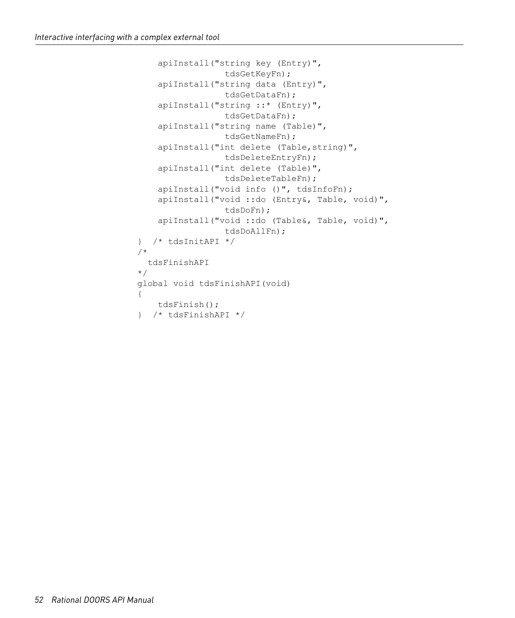```
 apiInstall("string key (Entry)",
                  tdsGetKeyFn);
     apiInstall("string data (Entry)",
                   tdsGetDataFn);
     apiInstall("string ::* (Entry)",
                  tdsGetDataFn);
     apiInstall("string name (Table)",
                  tdsGetNameFn);
     apiInstall("int delete (Table,string)",
                  tdsDeleteEntryFn);
     apiInstall("int delete (Table)",
                  tdsDeleteTableFn);
     apiInstall("void info ()", tdsInfoFn);
     apiInstall("void ::do (Entry&, Table, void)",
                  tdsDoFn);
     apiInstall("void ::do (Table&, Table, void)",
                  tdsDoAllFn);
} /* tdsInitAPI */
/*
   tdsFinishAPI
*/
global void tdsFinishAPI(void)
{
     tdsFinish();
} /* tdsFinishAPI */
```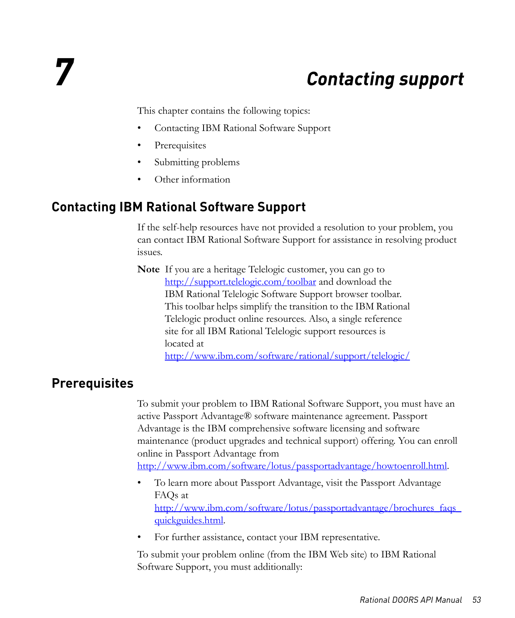## *7 Contacting support*

<span id="page-60-0"></span>This chapter contains the following topics:

- [Contacting IBM Rational Software Support](#page-60-1)
- **[Prerequisites](#page-60-2)**
- [Submitting problems](#page-61-0)
- [Other information](#page-63-0)

## <span id="page-60-1"></span>**Contacting IBM Rational Software Support**

If the self-help resources have not provided a resolution to your problem, you can contact IBM Rational Software Support for assistance in resolving product issues.

**Note** If you are a heritage Telelogic customer, you can go to http://support.telelogic.com/toolbar and download the IBM Rational Telelogic Software Support browser toolbar. This toolbar helps simplify the transition to the IBM Rational Telelogic product online resources. Also, a single reference site for all IBM Rational Telelogic support resources is located at

http://www.ibm.com/software/rational/support/telelogic/

## <span id="page-60-2"></span>**Prerequisites**

To submit your problem to IBM Rational Software Support, you must have an active Passport Advantage® software maintenance agreement. Passport Advantage is the IBM comprehensive software licensing and software maintenance (product upgrades and technical support) offering. You can enroll online in Passport Advantage from

http://www.ibm.com/software/lotus/passportadvantage/howtoenroll.html.

- To learn more about Passport Advantage, visit the Passport Advantage FAQs at http://www.ibm.com/software/lotus/passportadvantage/brochures\_faqs\_ quickguides.html.
- For further assistance, contact your IBM representative.

To submit your problem online (from the IBM Web site) to IBM Rational Software Support, you must additionally: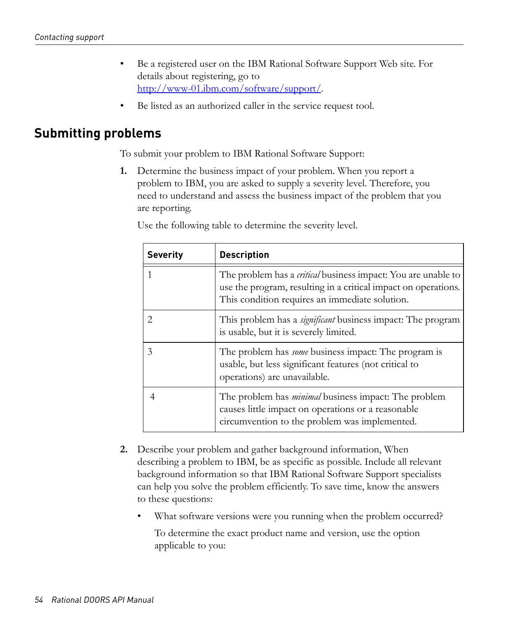- Be a registered user on the IBM Rational Software Support Web site. For details about registering, go to http://www-01.ibm.com/software/support/.
- Be listed as an authorized caller in the service request tool.

#### <span id="page-61-0"></span>**Submitting problems**

To submit your problem to IBM Rational Software Support:

**1.** Determine the business impact of your problem. When you report a problem to IBM, you are asked to supply a severity level. Therefore, you need to understand and assess the business impact of the problem that you are reporting.

Use the following table to determine the severity level.

| <b>Severity</b> | <b>Description</b>                                                                                                                                                                       |
|-----------------|------------------------------------------------------------------------------------------------------------------------------------------------------------------------------------------|
| 1               | The problem has a <i>critical</i> business impact: You are unable to<br>use the program, resulting in a critical impact on operations.<br>This condition requires an immediate solution. |
| $\mathfrak{D}$  | This problem has a <i>significant</i> business impact: The program<br>is usable, but it is severely limited.                                                                             |
| 3               | The problem has <i>some</i> business impact: The program is<br>usable, but less significant features (not critical to<br>operations) are unavailable.                                    |
|                 | The problem has <i>minimal</i> business impact: The problem<br>causes little impact on operations or a reasonable<br>circumvention to the problem was implemented.                       |

- **2.** Describe your problem and gather background information, When describing a problem to IBM, be as specific as possible. Include all relevant background information so that IBM Rational Software Support specialists can help you solve the problem efficiently. To save time, know the answers to these questions:
	- What software versions were you running when the problem occurred?

To determine the exact product name and version, use the option applicable to you: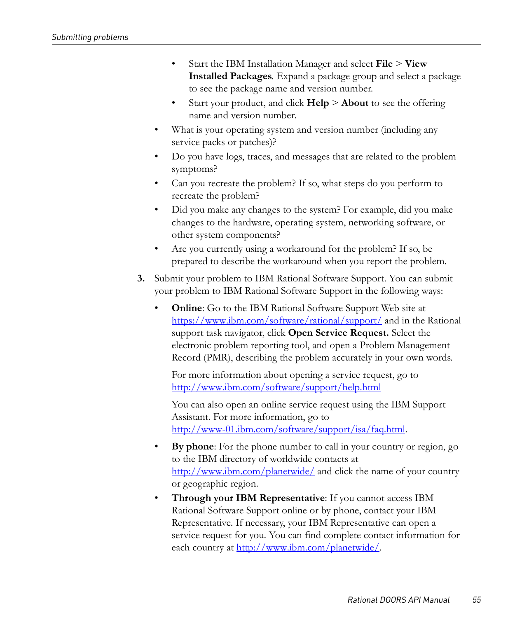- Start the IBM Installation Manager and select **File** > **View Installed Packages**. Expand a package group and select a package to see the package name and version number.
- Start your product, and click **Help** > **About** to see the offering name and version number.
- What is your operating system and version number (including any service packs or patches)?
- Do you have logs, traces, and messages that are related to the problem symptoms?
- Can you recreate the problem? If so, what steps do you perform to recreate the problem?
- Did you make any changes to the system? For example, did you make changes to the hardware, operating system, networking software, or other system components?
- Are you currently using a workaround for the problem? If so, be prepared to describe the workaround when you report the problem.
- **3.** Submit your problem to IBM Rational Software Support. You can submit your problem to IBM Rational Software Support in the following ways:
	- **Online**: Go to the IBM Rational Software Support Web site at https://www.ibm.com/software/rational/support/ and in the Rational support task navigator, click **Open Service Request.** Select the electronic problem reporting tool, and open a Problem Management Record (PMR), describing the problem accurately in your own words.

For more information about opening a service request, go to http://www.ibm.com/software/support/help.html

You can also open an online service request using the IBM Support Assistant. For more information, go to http://www-01.ibm.com/software/support/isa/faq.html.

- **By phone**: For the phone number to call in your country or region, go to the IBM directory of worldwide contacts at http://www.ibm.com/planetwide/ and click the name of your country or geographic region.
- **Through your IBM Representative:** If you cannot access IBM Rational Software Support online or by phone, contact your IBM Representative. If necessary, your IBM Representative can open a service request for you. You can find complete contact information for each country at http://www.ibm.com/planetwide/.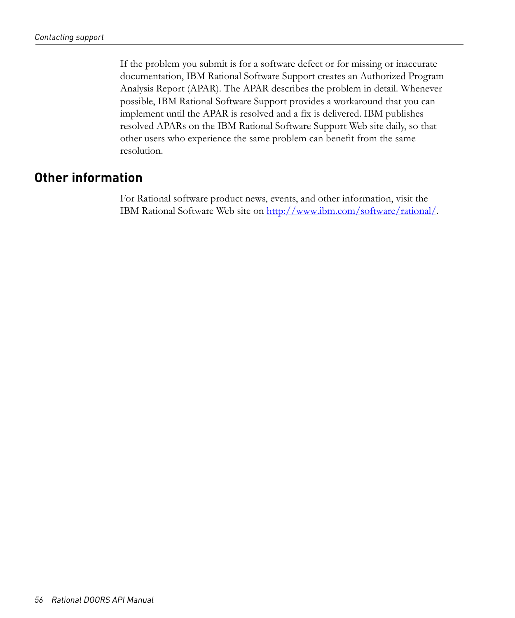If the problem you submit is for a software defect or for missing or inaccurate documentation, IBM Rational Software Support creates an Authorized Program Analysis Report (APAR). The APAR describes the problem in detail. Whenever possible, IBM Rational Software Support provides a workaround that you can implement until the APAR is resolved and a fix is delivered. IBM publishes resolved APARs on the IBM Rational Software Support Web site daily, so that other users who experience the same problem can benefit from the same resolution.

## <span id="page-63-0"></span>**Other information**

For Rational software product news, events, and other information, visit the IBM Rational Software Web site on http://www.ibm.com/software/rational/.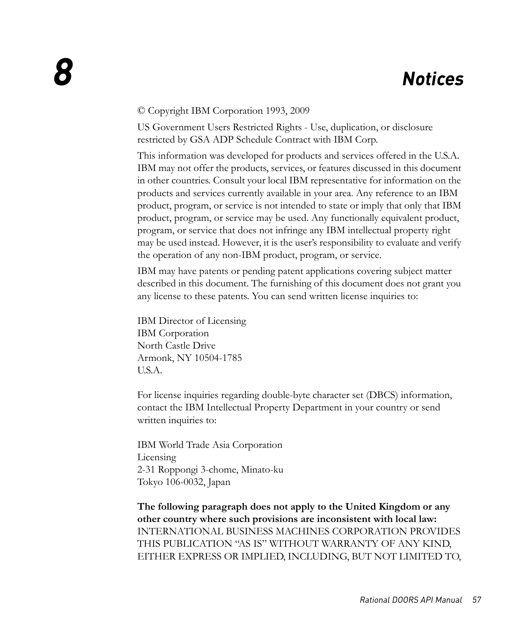#### <span id="page-64-1"></span><span id="page-64-0"></span>© Copyright IBM Corporation 1993, 2009

US Government Users Restricted Rights - Use, duplication, or disclosure restricted by GSA ADP Schedule Contract with IBM Corp.

This information was developed for products and services offered in the U.S.A. IBM may not offer the products, services, or features discussed in this document in other countries. Consult your local IBM representative for information on the products and services currently available in your area. Any reference to an IBM product, program, or service is not intended to state or imply that only that IBM product, program, or service may be used. Any functionally equivalent product, program, or service that does not infringe any IBM intellectual property right may be used instead. However, it is the user's responsibility to evaluate and verify the operation of any non-IBM product, program, or service.

IBM may have patents or pending patent applications covering subject matter described in this document. The furnishing of this document does not grant you any license to these patents. You can send written license inquiries to:

IBM Director of Licensing IBM Corporation North Castle Drive Armonk, NY 10504-1785 U.S.A.

For license inquiries regarding double-byte character set (DBCS) information, contact the IBM Intellectual Property Department in your country or send written inquiries to:

IBM World Trade Asia Corporation Licensing 2-31 Roppongi 3-chome, Minato-ku Tokyo 106-0032, Japan

**The following paragraph does not apply to the United Kingdom or any other country where such provisions are inconsistent with local law:** INTERNATIONAL BUSINESS MACHINES CORPORATION PROVIDES THIS PUBLICATION "AS IS" WITHOUT WARRANTY OF ANY KIND, EITHER EXPRESS OR IMPLIED, INCLUDING, BUT NOT LIMITED TO,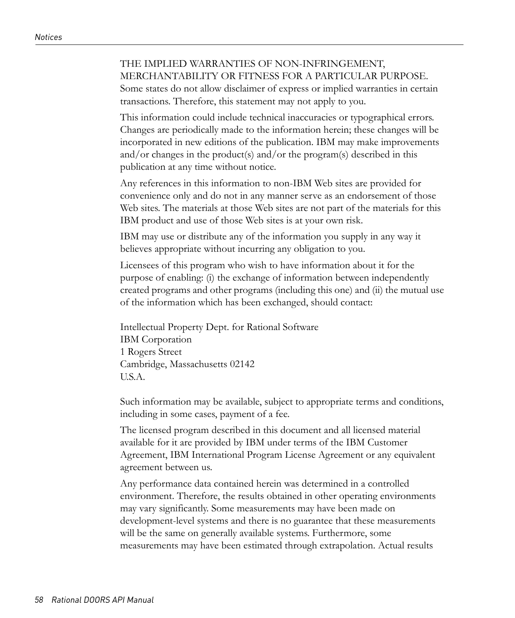## THE IMPLIED WARRANTIES OF NON-INFRINGEMENT, MERCHANTABILITY OR FITNESS FOR A PARTICULAR PURPOSE.

Some states do not allow disclaimer of express or implied warranties in certain transactions. Therefore, this statement may not apply to you.

This information could include technical inaccuracies or typographical errors. Changes are periodically made to the information herein; these changes will be incorporated in new editions of the publication. IBM may make improvements and/or changes in the product(s) and/or the program(s) described in this publication at any time without notice.

Any references in this information to non-IBM Web sites are provided for convenience only and do not in any manner serve as an endorsement of those Web sites. The materials at those Web sites are not part of the materials for this IBM product and use of those Web sites is at your own risk.

IBM may use or distribute any of the information you supply in any way it believes appropriate without incurring any obligation to you.

Licensees of this program who wish to have information about it for the purpose of enabling: (i) the exchange of information between independently created programs and other programs (including this one) and (ii) the mutual use of the information which has been exchanged, should contact:

Intellectual Property Dept. for Rational Software IBM Corporation 1 Rogers Street Cambridge, Massachusetts 02142 U.S.A.

Such information may be available, subject to appropriate terms and conditions, including in some cases, payment of a fee.

The licensed program described in this document and all licensed material available for it are provided by IBM under terms of the IBM Customer Agreement, IBM International Program License Agreement or any equivalent agreement between us.

Any performance data contained herein was determined in a controlled environment. Therefore, the results obtained in other operating environments may vary significantly. Some measurements may have been made on development-level systems and there is no guarantee that these measurements will be the same on generally available systems. Furthermore, some measurements may have been estimated through extrapolation. Actual results